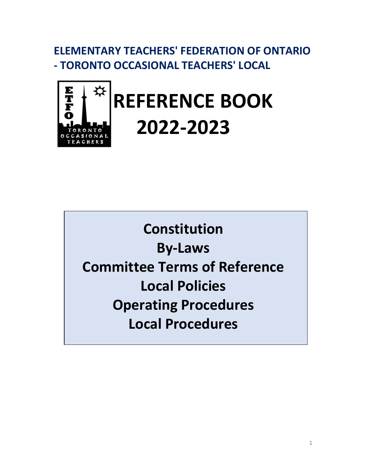**ELEMENTARY TEACHERS' FEDERATION OF ONTARIO - TORONTO OCCASIONAL TEACHERS' LOCAL**



**Constitution By-Laws Committee Terms of Reference Local Policies Operating Procedures Local Procedures**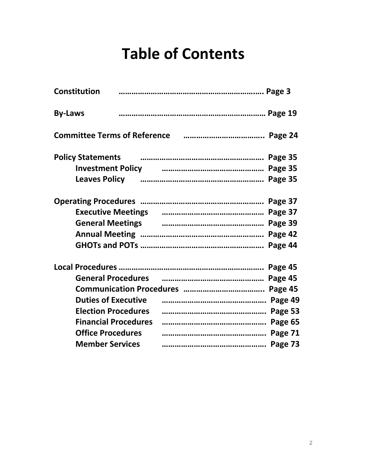# **Table of Contents**

| <b>Constitution</b>         |                                                                                                                      |
|-----------------------------|----------------------------------------------------------------------------------------------------------------------|
| <b>By-Laws</b>              |                                                                                                                      |
|                             |                                                                                                                      |
| <b>Policy Statements</b>    |                                                                                                                      |
|                             | Investment Policy <b>contract and Contract Page 35</b>                                                               |
|                             | Leaves Policy <b>contracts</b> and the manumental care and the Mage 35                                               |
|                             |                                                                                                                      |
|                             | Executive Meetings <b>constructs</b> contain and the Magne 37                                                        |
|                             | General Meetings <b>contain the Contract Contract Contract Contract Contract Contract Contract Contract Contract</b> |
|                             |                                                                                                                      |
|                             |                                                                                                                      |
|                             |                                                                                                                      |
|                             | General Procedures <b>contracts</b> and continuum control of the Page 45                                             |
|                             |                                                                                                                      |
| <b>Duties of Executive</b>  |                                                                                                                      |
| <b>Election Procedures</b>  |                                                                                                                      |
| <b>Financial Procedures</b> |                                                                                                                      |
| <b>Office Procedures</b>    |                                                                                                                      |
| <b>Member Services</b>      |                                                                                                                      |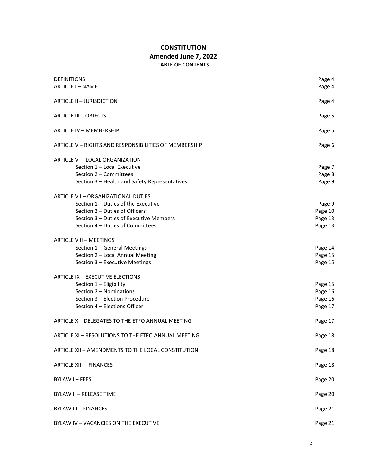## **CONSTITUTION Amended June 7, 2022 TABLE OF CONTENTS**

| <b>DEFINITIONS</b>                                    | Page 4  |
|-------------------------------------------------------|---------|
| <b>ARTICLE I-NAME</b>                                 | Page 4  |
|                                                       |         |
| ARTICLE II - JURISDICTION                             | Page 4  |
| <b>ARTICLE III - OBJECTS</b>                          | Page 5  |
| ARTICLE IV - MEMBERSHIP                               | Page 5  |
| ARTICLE V - RIGHTS AND RESPONSIBILITIES OF MEMBERSHIP | Page 6  |
| ARTICLE VI - LOCAL ORGANIZATION                       |         |
| Section 1 - Local Executive                           | Page 7  |
| Section 2 - Committees                                | Page 8  |
| Section 3 - Health and Safety Representatives         | Page 9  |
| ARTICLE VII - ORGANIZATIONAL DUTIES                   |         |
| Section 1 - Duties of the Executive                   | Page 9  |
| Section 2 - Duties of Officers                        | Page 10 |
| Section 3 - Duties of Executive Members               | Page 13 |
| Section 4 - Duties of Committees                      | Page 13 |
| <b>ARTICLE VIII - MEETINGS</b>                        |         |
| Section 1 - General Meetings                          | Page 14 |
| Section 2 - Local Annual Meeting                      | Page 15 |
| Section 3 - Executive Meetings                        | Page 15 |
| <b>ARTICLE IX - EXECUTIVE ELECTIONS</b>               |         |
| Section 1 - Eligibility                               | Page 15 |
| Section 2 - Nominations                               | Page 16 |
| Section 3 - Election Procedure                        | Page 16 |
| Section 4 - Elections Officer                         | Page 17 |
| ARTICLE X - DELEGATES TO THE ETFO ANNUAL MEETING      | Page 17 |
| ARTICLE XI - RESOLUTIONS TO THE ETFO ANNUAL MEETING   | Page 18 |
| ARTICLE XII - AMENDMENTS TO THE LOCAL CONSTITUTION    | Page 18 |
| <b>ARTICLE XIII - FINANCES</b>                        | Page 18 |
| <b>BYLAW I-FEES</b>                                   | Page 20 |
| <b>BYLAW II - RELEASE TIME</b>                        | Page 20 |
| <b>BYLAW III - FINANCES</b>                           | Page 21 |
| BYLAW IV - VACANCIES ON THE EXECUTIVE                 | Page 21 |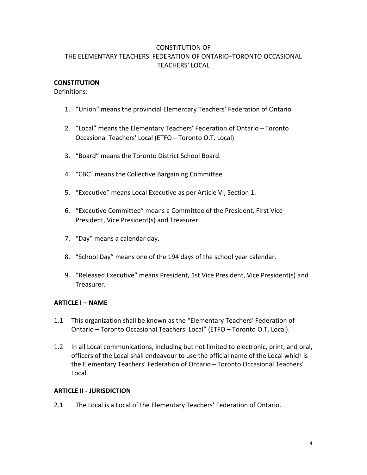## CONSTITUTION OF THE ELEMENTARY TEACHERS' FEDERATION OF ONTARIO-TORONTO OCCASIONAL TEACHERS' LOCAL

## **CONSTITUTION**

#### Definitions:

- 1. "Union" means the provincial Elementary Teachers' Federation of Ontario
- 2. "Local" means the Elementary Teachers' Federation of Ontario Toronto Occasional Teachers' Local (ETFO – Toronto O.T. Local)
- 3. "Board" means the Toronto District School Board.
- 4. "CBC" means the Collective Bargaining Committee
- 5. "Executive" means Local Executive as per Article VI, Section 1.
- 6. "Executive Committee" means a Committee of the President, First Vice President, Vice President(s) and Treasurer.
- 7. "Day" means a calendar day.
- 8. "School Day" means one of the 194 days of the school year calendar.
- 9. "Released Executive" means President, 1st Vice President, Vice President(s) and Treasurer.

#### **ARTICLE I – NAME**

- 1.1 This organization shall be known as the "Elementary Teachers' Federation of Ontario – Toronto Occasional Teachers' Local" (ETFO – Toronto O.T. Local).
- 1.2 In all Local communications, including but not limited to electronic, print, and oral, officers of the Local shall endeavour to use the official name of the Local which is the Elementary Teachers' Federation of Ontario – Toronto Occasional Teachers' Local.

#### **ARTICLE II - JURISDICTION**

2.1 The Local is a Local of the Elementary Teachers' Federation of Ontario.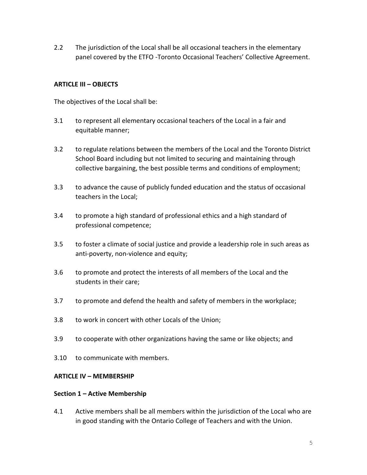2.2 The jurisdiction of the Local shall be all occasional teachers in the elementary panel covered by the ETFO -Toronto Occasional Teachers' Collective Agreement.

## **ARTICLE III – OBJECTS**

The objectives of the Local shall be:

- 3.1 to represent all elementary occasional teachers of the Local in a fair and equitable manner;
- 3.2 to regulate relations between the members of the Local and the Toronto District School Board including but not limited to securing and maintaining through collective bargaining, the best possible terms and conditions of employment;
- 3.3 to advance the cause of publicly funded education and the status of occasional teachers in the Local;
- 3.4 to promote a high standard of professional ethics and a high standard of professional competence;
- 3.5 to foster a climate of social justice and provide a leadership role in such areas as anti-poverty, non-violence and equity;
- 3.6 to promote and protect the interests of all members of the Local and the students in their care;
- 3.7 to promote and defend the health and safety of members in the workplace;
- 3.8 to work in concert with other Locals of the Union;
- 3.9 to cooperate with other organizations having the same or like objects; and
- 3.10 to communicate with members.

## **ARTICLE IV – MEMBERSHIP**

## **Section 1 – Active Membership**

4.1 Active members shall be all members within the jurisdiction of the Local who are in good standing with the Ontario College of Teachers and with the Union.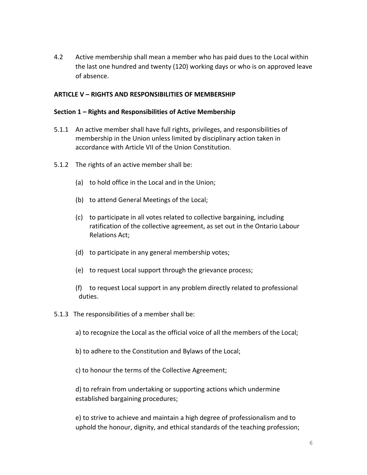4.2 Active membership shall mean a member who has paid dues to the Local within the last one hundred and twenty (120) working days or who is on approved leave of absence.

#### **ARTICLE V – RIGHTS AND RESPONSIBILITIES OF MEMBERSHIP**

#### **Section 1 – Rights and Responsibilities of Active Membership**

- 5.1.1 An active member shall have full rights, privileges, and responsibilities of membership in the Union unless limited by disciplinary action taken in accordance with Article VII of the Union Constitution.
- 5.1.2 The rights of an active member shall be:
	- (a) to hold office in the Local and in the Union;
	- (b) to attend General Meetings of the Local;
	- (c) to participate in all votes related to collective bargaining, including ratification of the collective agreement, as set out in the Ontario Labour Relations Act;
	- (d) to participate in any general membership votes;
	- (e) to request Local support through the grievance process;
	- (f) to request Local support in any problem directly related to professional duties.
- 5.1.3 The responsibilities of a member shall be:
	- a) to recognize the Local as the official voice of all the members of the Local;
	- b) to adhere to the Constitution and Bylaws of the Local;
	- c) to honour the terms of the Collective Agreement;

d) to refrain from undertaking or supporting actions which undermine established bargaining procedures;

e) to strive to achieve and maintain a high degree of professionalism and to uphold the honour, dignity, and ethical standards of the teaching profession;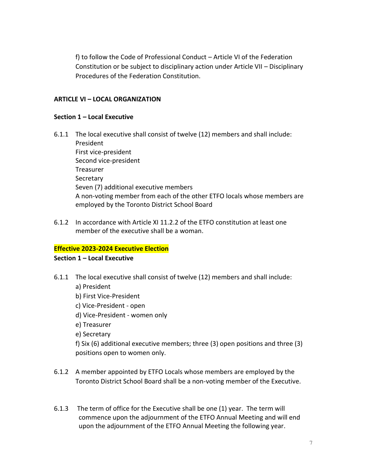f) to follow the Code of Professional Conduct – Article VI of the Federation Constitution or be subject to disciplinary action under Article VII – Disciplinary Procedures of the Federation Constitution.

## **ARTICLE VI – LOCAL ORGANIZATION**

#### **Section 1 – Local Executive**

- 6.1.1 The local executive shall consist of twelve (12) members and shall include: President First vice-president Second vice-president Treasurer **Secretary** Seven (7) additional executive members A non-voting member from each of the other ETFO locals whose members are employed by the Toronto District School Board
- 6.1.2 In accordance with Article XI 11.2.2 of the ETFO constitution at least one member of the executive shall be a woman.

## **Effective 2023-2024 Executive Election**

#### **Section 1 – Local Executive**

- 6.1.1 The local executive shall consist of twelve (12) members and shall include:
	- a) President
	- b) First Vice-President
	- c) Vice-President open
	- d) Vice-President women only
	- e) Treasurer
	- e) Secretary

f) Six (6) additional executive members; three (3) open positions and three (3) positions open to women only.

- 6.1.2 A member appointed by ETFO Locals whose members are employed by the Toronto District School Board shall be a non-voting member of the Executive.
- 6.1.3 The term of office for the Executive shall be one (1) year. The term will commence upon the adjournment of the ETFO Annual Meeting and will end upon the adjournment of the ETFO Annual Meeting the following year.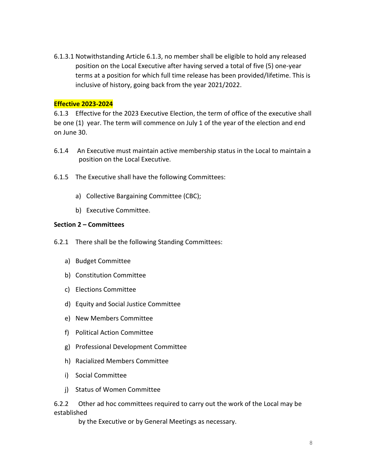6.1.3.1 Notwithstanding Article 6.1.3, no member shall be eligible to hold any released position on the Local Executive after having served a total of five (5) one-year terms at a position for which full time release has been provided/lifetime. This is inclusive of history, going back from the year 2021/2022.

#### **Effective 2023-2024**

6.1.3 Effective for the 2023 Executive Election, the term of office of the executive shall be one (1) year. The term will commence on July 1 of the year of the election and end on June 30.

- 6.1.4 An Executive must maintain active membership status in the Local to maintain a position on the Local Executive.
- 6.1.5 The Executive shall have the following Committees:
	- a) Collective Bargaining Committee (CBC);
	- b) Executive Committee.

#### **Section 2 – Committees**

- 6.2.1 There shall be the following Standing Committees:
	- a) Budget Committee
	- b) Constitution Committee
	- c) Elections Committee
	- d) Equity and Social Justice Committee
	- e) New Members Committee
	- f) Political Action Committee
	- g) Professional Development Committee
	- h) Racialized Members Committee
	- i) Social Committee
	- j) Status of Women Committee

6.2.2 Other ad hoc committees required to carry out the work of the Local may be established

by the Executive or by General Meetings as necessary.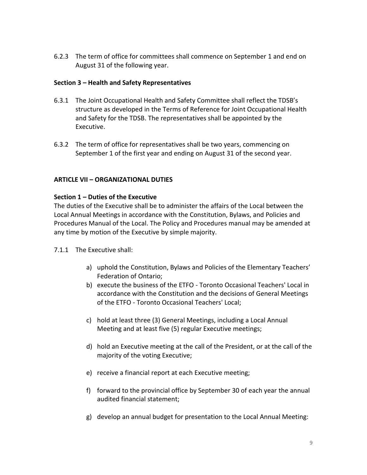6.2.3 The term of office for committees shall commence on September 1 and end on August 31 of the following year.

## **Section 3 – Health and Safety Representatives**

- 6.3.1 The Joint Occupational Health and Safety Committee shall reflect the TDSB's structure as developed in the Terms of Reference for Joint Occupational Health and Safety for the TDSB. The representatives shall be appointed by the Executive.
- 6.3.2 The term of office for representatives shall be two years, commencing on September 1 of the first year and ending on August 31 of the second year.

#### **ARTICLE VII – ORGANIZATIONAL DUTIES**

#### **Section 1 – Duties of the Executive**

The duties of the Executive shall be to administer the affairs of the Local between the Local Annual Meetings in accordance with the Constitution, Bylaws, and Policies and Procedures Manual of the Local. The Policy and Procedures manual may be amended at any time by motion of the Executive by simple majority.

#### 7.1.1 The Executive shall:

- a) uphold the Constitution, Bylaws and Policies of the Elementary Teachers' Federation of Ontario;
- b) execute the business of the ETFO Toronto Occasional Teachers' Local in accordance with the Constitution and the decisions of General Meetings of the ETFO - Toronto Occasional Teachers' Local;
- c) hold at least three (3) General Meetings, including a Local Annual Meeting and at least five (5) regular Executive meetings;
- d) hold an Executive meeting at the call of the President, or at the call of the majority of the voting Executive;
- e) receive a financial report at each Executive meeting;
- f) forward to the provincial office by September 30 of each year the annual audited financial statement;
- g) develop an annual budget for presentation to the Local Annual Meeting: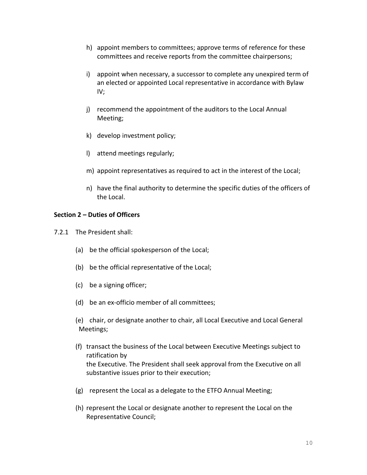- h) appoint members to committees; approve terms of reference for these committees and receive reports from the committee chairpersons;
- i) appoint when necessary, a successor to complete any unexpired term of an elected or appointed Local representative in accordance with Bylaw IV;
- j) recommend the appointment of the auditors to the Local Annual Meeting;
- k) develop investment policy;
- l) attend meetings regularly;
- m) appoint representatives as required to act in the interest of the Local;
- n) have the final authority to determine the specific duties of the officers of the Local.

## **Section 2 – Duties of Officers**

- 7.2.1 The President shall:
	- (a) be the official spokesperson of the Local;
	- (b) be the official representative of the Local;
	- (c) be a signing officer;
	- (d) be an ex-officio member of all committees;
	- (e) chair, or designate another to chair, all Local Executive and Local General Meetings;
	- (f) transact the business of the Local between Executive Meetings subject to ratification by the Executive. The President shall seek approval from the Executive on all substantive issues prior to their execution;
	- (g) represent the Local as a delegate to the ETFO Annual Meeting;
	- (h) represent the Local or designate another to represent the Local on the Representative Council;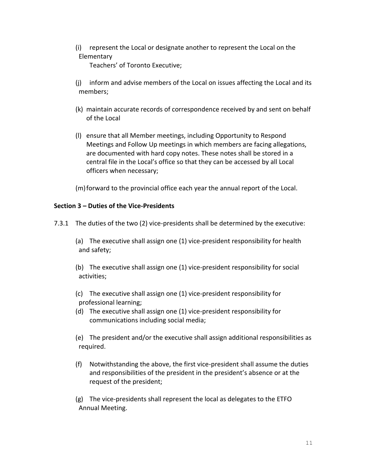(i) represent the Local or designate another to represent the Local on the Elementary

Teachers' of Toronto Executive;

- (j) inform and advise members of the Local on issues affecting the Local and its members;
- (k) maintain accurate records of correspondence received by and sent on behalf of the Local
- (l) ensure that all Member meetings, including Opportunity to Respond Meetings and Follow Up meetings in which members are facing allegations, are documented with hard copy notes. These notes shall be stored in a central file in the Local's office so that they can be accessed by all Local officers when necessary;
- (m)forward to the provincial office each year the annual report of the Local.

## **Section 3 – Duties of the Vice-Presidents**

- 7.3.1 The duties of the two (2) vice-presidents shall be determined by the executive:
	- (a) The executive shall assign one (1) vice-president responsibility for health and safety;
	- (b) The executive shall assign one (1) vice-president responsibility for social activities;
	- (c) The executive shall assign one (1) vice-president responsibility for professional learning;
	- (d) The executive shall assign one (1) vice-president responsibility for communications including social media;
	- (e) The president and/or the executive shall assign additional responsibilities as required.
	- (f) Notwithstanding the above, the first vice-president shall assume the duties and responsibilities of the president in the president's absence or at the request of the president;
	- (g) The vice-presidents shall represent the local as delegates to the ETFO Annual Meeting.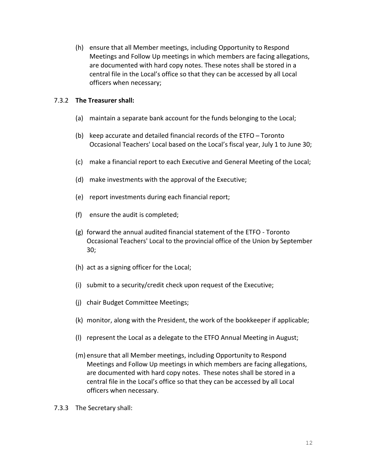(h) ensure that all Member meetings, including Opportunity to Respond Meetings and Follow Up meetings in which members are facing allegations, are documented with hard copy notes. These notes shall be stored in a central file in the Local's office so that they can be accessed by all Local officers when necessary;

#### 7.3.2 **The Treasurer shall:**

- (a) maintain a separate bank account for the funds belonging to the Local;
- (b) keep accurate and detailed financial records of the  $ETFO Toronto$ Occasional Teachers' Local based on the Local's fiscal year, July 1 to June 30;
- (c) make a financial report to each Executive and General Meeting of the Local;
- (d) make investments with the approval of the Executive;
- (e) report investments during each financial report;
- (f) ensure the audit is completed;
- (g) forward the annual audited financial statement of the ETFO Toronto Occasional Teachers' Local to the provincial office of the Union by September 30;
- (h) act as a signing officer for the Local;
- (i) submit to a security/credit check upon request of the Executive;
- (j) chair Budget Committee Meetings;
- (k) monitor, along with the President, the work of the bookkeeper if applicable;
- (l) represent the Local as a delegate to the ETFO Annual Meeting in August;
- (m) ensure that all Member meetings, including Opportunity to Respond Meetings and Follow Up meetings in which members are facing allegations, are documented with hard copy notes. These notes shall be stored in a central file in the Local's office so that they can be accessed by all Local officers when necessary.
- 7.3.3 The Secretary shall: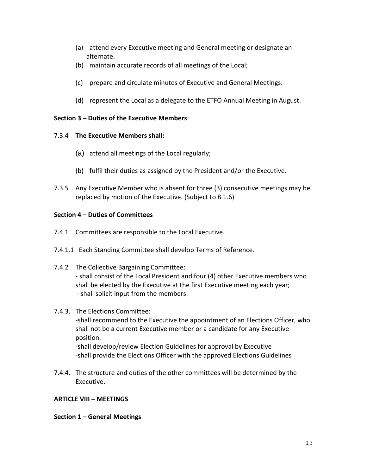- (a) attend every Executive meeting and General meeting or designate an alternate.
- (b) maintain accurate records of all meetings of the Local;
- (c) prepare and circulate minutes of Executive and General Meetings.
- (d) represent the Local as a delegate to the ETFO Annual Meeting in August.

## **Section 3 – Duties of the Executive Members**:

## 7.3.4 **The Executive Members shall:**

- (a) attend all meetings of the Local regularly;
- (b) fulfil their duties as assigned by the President and/or the Executive.
- 7.3.5 Any Executive Member who is absent for three (3) consecutive meetings may be replaced by motion of the Executive. (Subject to 8.1.6)

## **Section 4 – Duties of Committees**

- 7.4.1 Committees are responsible to the Local Executive.
- 7.4.1.1 Each Standing Committee shall develop Terms of Reference.
- 7.4.2 The Collective Bargaining Committee: - shall consist of the Local President and four (4) other Executive members who shall be elected by the Executive at the first Executive meeting each year; - shall solicit input from the members.

## 7.4.3. The Elections Committee:

-shall recommend to the Executive the appointment of an Elections Officer, who shall not be a current Executive member or a candidate for any Executive position.

-shall develop/review Election Guidelines for approval by Executive -shall provide the Elections Officer with the approved Elections Guidelines

7.4.4. The structure and duties of the other committees will be determined by the Executive.

## **ARTICLE VIII – MEETINGS**

## **Section 1 – General Meetings**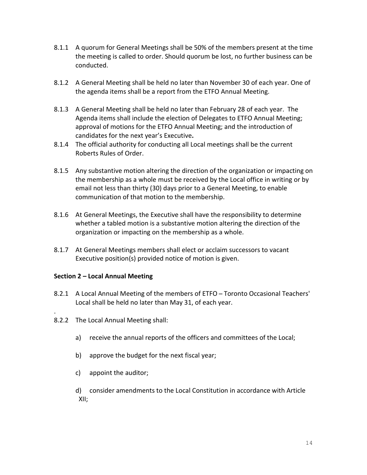- 8.1.1 A quorum for General Meetings shall be 50% of the members present at the time the meeting is called to order. Should quorum be lost, no further business can be conducted.
- 8.1.2 A General Meeting shall be held no later than November 30 of each year. One of the agenda items shall be a report from the ETFO Annual Meeting.
- 8.1.3 A General Meeting shall be held no later than February 28 of each year. The Agenda items shall include the election of Delegates to ETFO Annual Meeting; approval of motions for the ETFO Annual Meeting; and the introduction of candidates for the next year's Executive**.**
- 8.1.4 The official authority for conducting all Local meetings shall be the current Roberts Rules of Order.
- 8.1.5 Any substantive motion altering the direction of the organization or impacting on the membership as a whole must be received by the Local office in writing or by email not less than thirty (30) days prior to a General Meeting, to enable communication of that motion to the membership.
- 8.1.6 At General Meetings, the Executive shall have the responsibility to determine whether a tabled motion is a substantive motion altering the direction of the organization or impacting on the membership as a whole.
- 8.1.7 At General Meetings members shall elect or acclaim successors to vacant Executive position(s) provided notice of motion is given.

## **Section 2 – Local Annual Meeting**

.

- 8.2.1 A Local Annual Meeting of the members of ETFO Toronto Occasional Teachers' Local shall be held no later than May 31, of each year.
- 8.2.2 The Local Annual Meeting shall:
	- a) receive the annual reports of the officers and committees of the Local;
	- b) approve the budget for the next fiscal year;
	- c) appoint the auditor;
	- d) consider amendments to the Local Constitution in accordance with Article XII;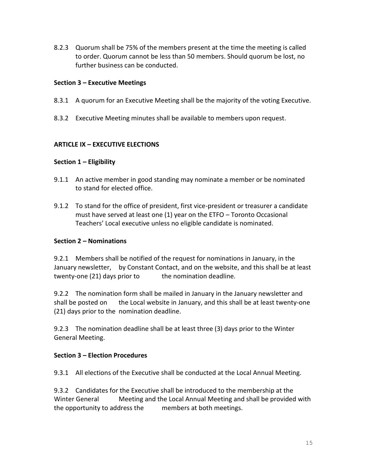8.2.3 Quorum shall be 75% of the members present at the time the meeting is called to order. Quorum cannot be less than 50 members. Should quorum be lost, no further business can be conducted.

## **Section 3 – Executive Meetings**

- 8.3.1 A quorum for an Executive Meeting shall be the majority of the voting Executive.
- 8.3.2 Executive Meeting minutes shall be available to members upon request.

#### **ARTICLE IX – EXECUTIVE ELECTIONS**

#### **Section 1 – Eligibility**

- 9.1.1 An active member in good standing may nominate a member or be nominated to stand for elected office.
- 9.1.2 To stand for the office of president, first vice-president or treasurer a candidate must have served at least one (1) year on the ETFO – Toronto Occasional Teachers' Local executive unless no eligible candidate is nominated.

## **Section 2 – Nominations**

9.2.1 Members shall be notified of the request for nominations in January, in the January newsletter, by Constant Contact, and on the website, and this shall be at least twenty-one (21) days prior to the nomination deadline.

9.2.2 The nomination form shall be mailed in January in the January newsletter and shall be posted on the Local website in January, and this shall be at least twenty-one (21) days prior to the nomination deadline.

9.2.3 The nomination deadline shall be at least three (3) days prior to the Winter General Meeting.

#### **Section 3 – Election Procedures**

9.3.1 All elections of the Executive shall be conducted at the Local Annual Meeting.

9.3.2 Candidates for the Executive shall be introduced to the membership at the Winter General Meeting and the Local Annual Meeting and shall be provided with the opportunity to address the members at both meetings.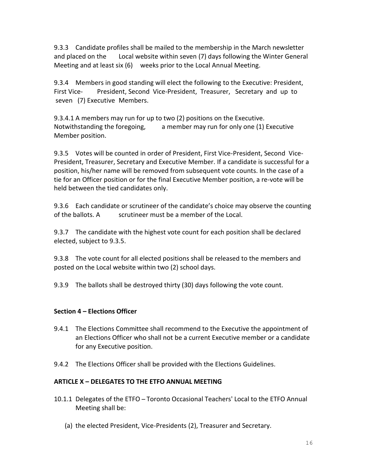9.3.3 Candidate profiles shall be mailed to the membership in the March newsletter and placed on the Local website within seven (7) days following the Winter General Meeting and at least six (6) weeks prior to the Local Annual Meeting.

9.3.4 Members in good standing will elect the following to the Executive: President, First Vice- President, Second Vice-President, Treasurer, Secretary and up to seven (7) Executive Members.

9.3.4.1 A members may run for up to two (2) positions on the Executive. Notwithstanding the foregoing, a member may run for only one (1) Executive Member position.

9.3.5 Votes will be counted in order of President, First Vice-President, Second Vice-President, Treasurer, Secretary and Executive Member. If a candidate is successful for a position, his/her name will be removed from subsequent vote counts. In the case of a tie for an Officer position or for the final Executive Member position, a re-vote will be held between the tied candidates only.

9.3.6 Each candidate or scrutineer of the candidate's choice may observe the counting of the ballots. A scrutineer must be a member of the Local.

9.3.7 The candidate with the highest vote count for each position shall be declared elected, subject to 9.3.5.

9.3.8 The vote count for all elected positions shall be released to the members and posted on the Local website within two (2) school days.

9.3.9 The ballots shall be destroyed thirty (30) days following the vote count.

## **Section 4 – Elections Officer**

- 9.4.1 The Elections Committee shall recommend to the Executive the appointment of an Elections Officer who shall not be a current Executive member or a candidate for any Executive position.
- 9.4.2 The Elections Officer shall be provided with the Elections Guidelines.

## **ARTICLE X – DELEGATES TO THE ETFO ANNUAL MEETING**

- 10.1.1 Delegates of the ETFO Toronto Occasional Teachers' Local to the ETFO Annual Meeting shall be:
	- (a) the elected President, Vice-Presidents (2), Treasurer and Secretary.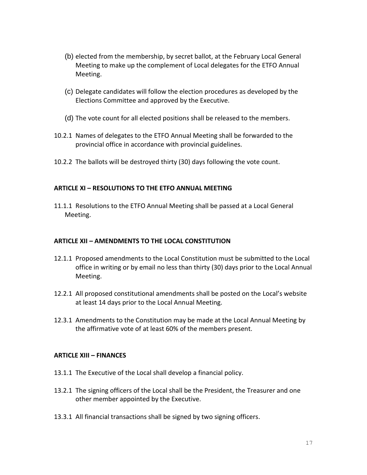- (b) elected from the membership, by secret ballot, at the February Local General Meeting to make up the complement of Local delegates for the ETFO Annual Meeting.
- (c) Delegate candidates will follow the election procedures as developed by the Elections Committee and approved by the Executive.
- (d) The vote count for all elected positions shall be released to the members.
- 10.2.1 Names of delegates to the ETFO Annual Meeting shall be forwarded to the provincial office in accordance with provincial guidelines.
- 10.2.2 The ballots will be destroyed thirty (30) days following the vote count.

#### **ARTICLE XI – RESOLUTIONS TO THE ETFO ANNUAL MEETING**

11.1.1 Resolutions to the ETFO Annual Meeting shall be passed at a Local General Meeting.

#### **ARTICLE XII – AMENDMENTS TO THE LOCAL CONSTITUTION**

- 12.1.1 Proposed amendments to the Local Constitution must be submitted to the Local office in writing or by email no less than thirty (30) days prior to the Local Annual Meeting.
- 12.2.1 All proposed constitutional amendments shall be posted on the Local's website at least 14 days prior to the Local Annual Meeting.
- 12.3.1 Amendments to the Constitution may be made at the Local Annual Meeting by the affirmative vote of at least 60% of the members present.

#### **ARTICLE XIII – FINANCES**

- 13.1.1 The Executive of the Local shall develop a financial policy.
- 13.2.1 The signing officers of the Local shall be the President, the Treasurer and one other member appointed by the Executive.
- 13.3.1 All financial transactions shall be signed by two signing officers.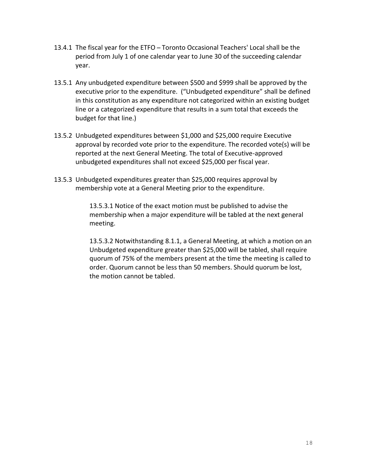- 13.4.1 The fiscal year for the ETFO Toronto Occasional Teachers' Local shall be the period from July 1 of one calendar year to June 30 of the succeeding calendar year.
- 13.5.1 Any unbudgeted expenditure between \$500 and \$999 shall be approved by the executive prior to the expenditure. ("Unbudgeted expenditure" shall be defined in this constitution as any expenditure not categorized within an existing budget line or a categorized expenditure that results in a sum total that exceeds the budget for that line.)
- 13.5.2 Unbudgeted expenditures between \$1,000 and \$25,000 require Executive approval by recorded vote prior to the expenditure. The recorded vote(s) will be reported at the next General Meeting. The total of Executive-approved unbudgeted expenditures shall not exceed \$25,000 per fiscal year.
- 13.5.3 Unbudgeted expenditures greater than \$25,000 requires approval by membership vote at a General Meeting prior to the expenditure.

13.5.3.1 Notice of the exact motion must be published to advise the membership when a major expenditure will be tabled at the next general meeting.

13.5.3.2 Notwithstanding 8.1.1, a General Meeting, at which a motion on an Unbudgeted expenditure greater than \$25,000 will be tabled, shall require quorum of 75% of the members present at the time the meeting is called to order. Quorum cannot be less than 50 members. Should quorum be lost, the motion cannot be tabled.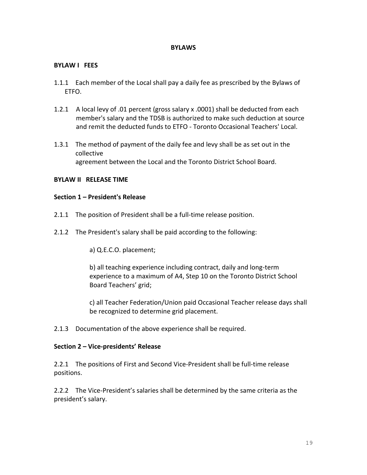#### **BYLAWS**

#### **BYLAW I FEES**

- 1.1.1 Each member of the Local shall pay a daily fee as prescribed by the Bylaws of ETFO.
- 1.2.1 A local levy of .01 percent (gross salary x .0001) shall be deducted from each member's salary and the TDSB is authorized to make such deduction at source and remit the deducted funds to ETFO - Toronto Occasional Teachers' Local.
- 1.3.1 The method of payment of the daily fee and levy shall be as set out in the collective agreement between the Local and the Toronto District School Board.

#### **BYLAW II RELEASE TIME**

#### **Section 1 – President's Release**

- 2.1.1 The position of President shall be a full-time release position.
- 2.1.2 The President's salary shall be paid according to the following:

a) Q.E.C.O. placement;

b) all teaching experience including contract, daily and long-term experience to a maximum of A4, Step 10 on the Toronto District School Board Teachers' grid;

c) all Teacher Federation/Union paid Occasional Teacher release days shall be recognized to determine grid placement.

2.1.3 Documentation of the above experience shall be required.

#### **Section 2 – Vice-presidents' Release**

2.2.1 The positions of First and Second Vice-President shall be full-time release positions.

2.2.2 The Vice-President's salaries shall be determined by the same criteria as the president's salary.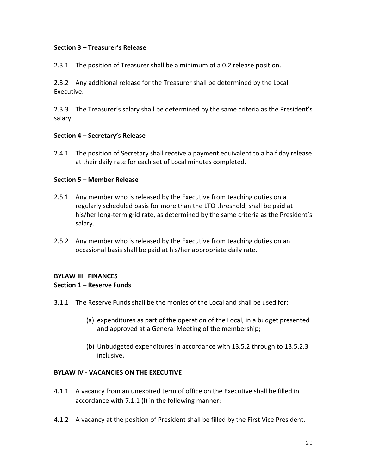#### **Section 3 – Treasurer's Release**

2.3.1 The position of Treasurer shall be a minimum of a 0.2 release position.

2.3.2 Any additional release for the Treasurer shall be determined by the Local Executive.

2.3.3 The Treasurer's salary shall be determined by the same criteria as the President's salary.

#### **Section 4 – Secretary's Release**

2.4.1 The position of Secretary shall receive a payment equivalent to a half day release at their daily rate for each set of Local minutes completed.

#### **Section 5 – Member Release**

- 2.5.1 Any member who is released by the Executive from teaching duties on a regularly scheduled basis for more than the LTO threshold, shall be paid at his/her long-term grid rate, as determined by the same criteria as the President's salary.
- 2.5.2 Any member who is released by the Executive from teaching duties on an occasional basis shall be paid at his/her appropriate daily rate.

## **BYLAW III FINANCES Section 1 – Reserve Funds**

- 3.1.1 The Reserve Funds shall be the monies of the Local and shall be used for:
	- (a) expenditures as part of the operation of the Local, in a budget presented and approved at a General Meeting of the membership;
	- (b) Unbudgeted expenditures in accordance with 13.5.2 through to 13.5.2.3 inclusive**.**

## **BYLAW IV - VACANCIES ON THE EXECUTIVE**

- 4.1.1 A vacancy from an unexpired term of office on the Executive shall be filled in accordance with 7.1.1 (I) in the following manner:
- 4.1.2 A vacancy at the position of President shall be filled by the First Vice President.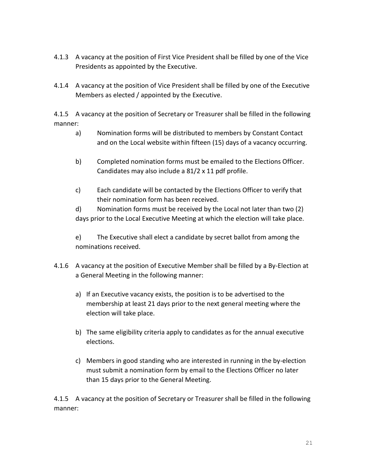- 4.1.3 A vacancy at the position of First Vice President shall be filled by one of the Vice Presidents as appointed by the Executive.
- 4.1.4 A vacancy at the position of Vice President shall be filled by one of the Executive Members as elected / appointed by the Executive.

4.1.5 A vacancy at the position of Secretary or Treasurer shall be filled in the following manner:

- a) Nomination forms will be distributed to members by Constant Contact and on the Local website within fifteen (15) days of a vacancy occurring.
- b) Completed nomination forms must be emailed to the Elections Officer. Candidates may also include a 81/2 x 11 pdf profile.
- c) Each candidate will be contacted by the Elections Officer to verify that their nomination form has been received.

d) Nomination forms must be received by the Local not later than two (2) days prior to the Local Executive Meeting at which the election will take place.

e) The Executive shall elect a candidate by secret ballot from among the nominations received.

- 4.1.6 A vacancy at the position of Executive Member shall be filled by a By-Election at a General Meeting in the following manner:
	- a) If an Executive vacancy exists, the position is to be advertised to the membership at least 21 days prior to the next general meeting where the election will take place.
	- b) The same eligibility criteria apply to candidates as for the annual executive elections.
	- c) Members in good standing who are interested in running in the by-election must submit a nomination form by email to the Elections Officer no later than 15 days prior to the General Meeting.

4.1.5 A vacancy at the position of Secretary or Treasurer shall be filled in the following manner: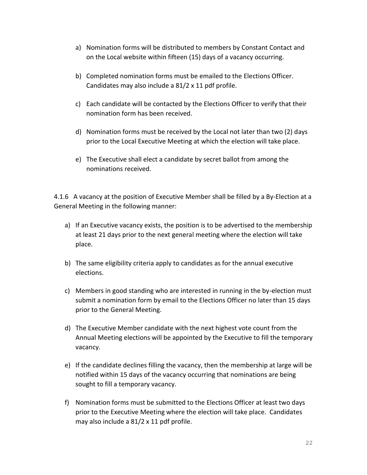- a) Nomination forms will be distributed to members by Constant Contact and on the Local website within fifteen (15) days of a vacancy occurring.
- b) Completed nomination forms must be emailed to the Elections Officer. Candidates may also include a 81/2 x 11 pdf profile.
- c) Each candidate will be contacted by the Elections Officer to verify that their nomination form has been received.
- d) Nomination forms must be received by the Local not later than two (2) days prior to the Local Executive Meeting at which the election will take place.
- e) The Executive shall elect a candidate by secret ballot from among the nominations received.

4.1.6 A vacancy at the position of Executive Member shall be filled by a By-Election at a General Meeting in the following manner:

- a) If an Executive vacancy exists, the position is to be advertised to the membership at least 21 days prior to the next general meeting where the election will take place.
- b) The same eligibility criteria apply to candidates as for the annual executive elections.
- c) Members in good standing who are interested in running in the by-election must submit a nomination form by email to the Elections Officer no later than 15 days prior to the General Meeting.
- d) The Executive Member candidate with the next highest vote count from the Annual Meeting elections will be appointed by the Executive to fill the temporary vacancy.
- e) If the candidate declines filling the vacancy, then the membership at large will be notified within 15 days of the vacancy occurring that nominations are being sought to fill a temporary vacancy.
- f) Nomination forms must be submitted to the Elections Officer at least two days prior to the Executive Meeting where the election will take place. Candidates may also include a 81/2 x 11 pdf profile.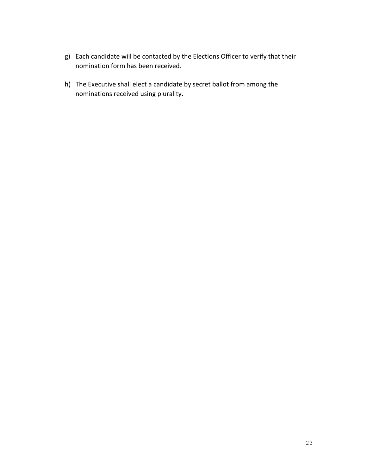- g) Each candidate will be contacted by the Elections Officer to verify that their nomination form has been received.
- h) The Executive shall elect a candidate by secret ballot from among the nominations received using plurality.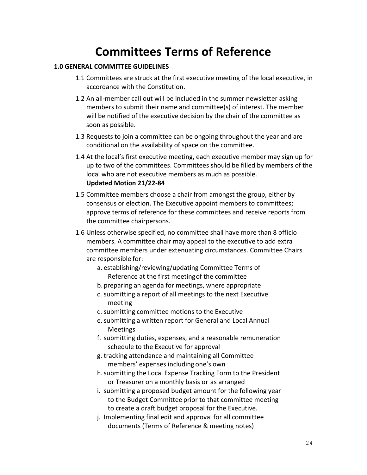## **Committees Terms of Reference**

#### **1.0 GENERAL COMMITTEE GUIDELINES**

- 1.1 Committees are struck at the first executive meeting of the local executive, in accordance with the Constitution.
- 1.2 An all-member call out will be included in the summer newsletter asking members to submit their name and committee(s) of interest. The member will be notified of the executive decision by the chair of the committee as soon as possible.
- 1.3 Requests to join a committee can be ongoing throughout the year and are conditional on the availability of space on the committee.
- 1.4 At the local's first executive meeting, each executive member may sign up for up to two of the committees. Committees should be filled by members of the local who are not executive members as much as possible. **Updated Motion 21/22-84**
- 1.5 Committee members choose a chair from amongst the group, either by consensus or election. The Executive appoint members to committees; approve terms of reference for these committees and receive reports from the committee chairpersons.
- 1.6 Unless otherwise specified, no committee shall have more than 8 officio members. A committee chair may appeal to the executive to add extra committee members under extenuating circumstances. Committee Chairs are responsible for:
	- a. establishing/reviewing/updating Committee Terms of Reference at the first meetingof the committee
	- b. preparing an agenda for meetings, where appropriate
	- c. submitting a report of all meetings to the next Executive meeting
	- d.submitting committee motions to the Executive
	- e.submitting a written report for General and Local Annual Meetings
	- f. submitting duties, expenses, and a reasonable remuneration schedule to the Executive for approval
	- g. tracking attendance and maintaining all Committee members' expenses including one's own
	- h.submitting the Local Expense Tracking Form to the President or Treasurer on a monthly basis or as arranged
	- i. submitting a proposed budget amount for the following year to the Budget Committee prior to that committee meeting to create a draft budget proposal for the Executive.
	- j. Implementing final edit and approval for all committee documents (Terms of Reference & meeting notes)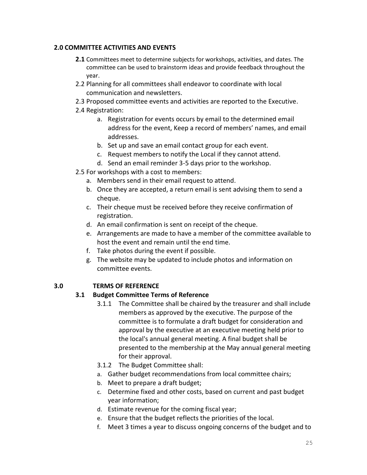## **2.0 COMMITTEE ACTIVITIES AND EVENTS**

- **2.1** Committees meet to determine subjects for workshops, activities, and dates. The committee can be used to brainstorm ideas and provide feedback throughout the year.
- 2.2 Planning for all committees shall endeavor to coordinate with local communication and newsletters.
- 2.3 Proposed committee events and activities are reported to the Executive.
- 2.4 Registration:
	- a. Registration for events occurs by email to the determined email address for the event, Keep a record of members' names, and email addresses.
	- b. Set up and save an email contact group for each event.
	- c. Request members to notify the Local if they cannot attend.
	- d. Send an email reminder 3-5 days prior to the workshop.
- 2.5 For workshops with a cost to members:
	- a. Members send in their email request to attend.
	- b. Once they are accepted, a return email is sent advising them to send a cheque.
	- c. Their cheque must be received before they receive confirmation of registration.
	- d. An email confirmation is sent on receipt of the cheque.
	- e. Arrangements are made to have a member of the committee available to host the event and remain until the end time.
	- f. Take photos during the event if possible.
	- g. The website may be updated to include photos and information on committee events.

## **3.0 TERMS OF REFERENCE**

#### **3.1 Budget Committee Terms of Reference**

- 3.1.1 The Committee shall be chaired by the treasurer and shall include members as approved by the executive. The purpose of the committee is to formulate a draft budget for consideration and approval by the executive at an executive meeting held prior to the local's annual general meeting. A final budget shall be presented to the membership at the May annual general meeting for their approval.
- 3.1.2 The Budget Committee shall:
- a. Gather budget recommendations from local committee chairs;
- b. Meet to prepare a draft budget;
- c. Determine fixed and other costs, based on current and past budget year information;
- d. Estimate revenue for the coming fiscal year;
- e. Ensure that the budget reflects the priorities of the local.
- f. Meet 3 times a year to discuss ongoing concerns of the budget and to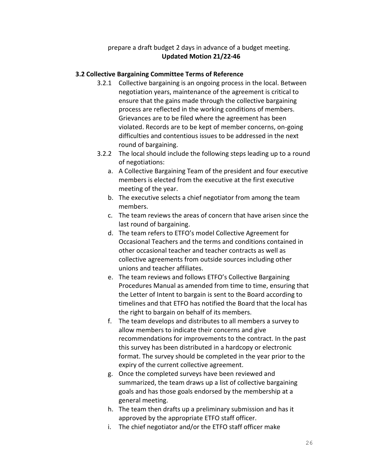prepare a draft budget 2 days in advance of a budget meeting. **Updated Motion 21/22-46**

## **3.2 Collective Bargaining Committee Terms of Reference**

- 3.2.1 Collective bargaining is an ongoing process in the local. Between negotiation years, maintenance of the agreement is critical to ensure that the gains made through the collective bargaining process are reflected in the working conditions of members. Grievances are to be filed where the agreement has been violated. Records are to be kept of member concerns, on-going difficulties and contentious issues to be addressed in the next round of bargaining.
- 3.2.2 The local should include the following steps leading up to a round of negotiations:
	- a. A Collective Bargaining Team of the president and four executive members is elected from the executive at the first executive meeting of the year.
	- b. The executive selects a chief negotiator from among the team members.
	- c. The team reviews the areas of concern that have arisen since the last round of bargaining.
	- d. The team refers to ETFO's model Collective Agreement for Occasional Teachers and the terms and conditions contained in other occasional teacher and teacher contracts as well as collective agreements from outside sources including other unions and teacher affiliates.
	- e. The team reviews and follows ETFO's Collective Bargaining Procedures Manual as amended from time to time, ensuring that the Letter of Intent to bargain is sent to the Board according to timelines and that ETFO has notified the Board that the local has the right to bargain on behalf of its members.
	- f. The team develops and distributes to all members a survey to allow members to indicate their concerns and give recommendations for improvements to the contract. In the past this survey has been distributed in a hardcopy or electronic format. The survey should be completed in the year prior to the expiry of the current collective agreement.
	- g. Once the completed surveys have been reviewed and summarized, the team draws up a list of collective bargaining goals and has those goals endorsed by the membership at a general meeting.
	- h. The team then drafts up a preliminary submission and has it approved by the appropriate ETFO staff officer.
	- i. The chief negotiator and/or the ETFO staff officer make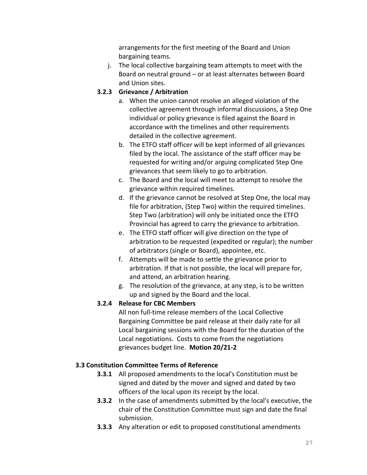arrangements for the first meeting of the Board and Union bargaining teams.

j. The local collective bargaining team attempts to meet with the Board on neutral ground – or at least alternates between Board and Union sites.

## **3.2.3 Grievance / Arbitration**

- a. When the union cannot resolve an alleged violation of the collective agreement through informal discussions, a Step One individual or policy grievance is filed against the Board in accordance with the timelines and other requirements detailed in the collective agreement.
- b. The ETFO staff officer will be kept informed of all grievances filed by the local. The assistance of the staff officer may be requested for writing and/or arguing complicated Step One grievances that seem likely to go to arbitration.
- c. The Board and the local will meet to attempt to resolve the grievance within required timelines.
- d. If the grievance cannot be resolved at Step One, the local may file for arbitration, (Step Two) within the required timelines. Step Two (arbitration) will only be initiated once the ETFO Provincial has agreed to carry the grievance to arbitration.
- e. The ETFO staff officer will give direction on the type of arbitration to be requested (expedited or regular); the number of arbitrators (single or Board), appointee, etc.
- f. Attempts will be made to settle the grievance prior to arbitration. If that is not possible, the local will prepare for, and attend, an arbitration hearing.
- g. The resolution of the grievance, at any step, is to be written up and signed by the Board and the local.

## **3.2.4 Release for CBC Members**

All non full-time release members of the Local Collective Bargaining Committee be paid release at their daily rate for all Local bargaining sessions with the Board for the duration of the Local negotiations. Costs to come from the negotiations grievances budget line. **Motion 20/21-2**

## **3.3 Constitution Committee Terms of Reference**

- **3.3.1** All proposed amendments to the local's Constitution must be signed and dated by the mover and signed and dated by two officers of the local upon its receipt by the local.
- **3.3.2** In the case of amendments submitted by the local's executive, the chair of the Constitution Committee must sign and date the final submission.
- **3.3.3** Any alteration or edit to proposed constitutional amendments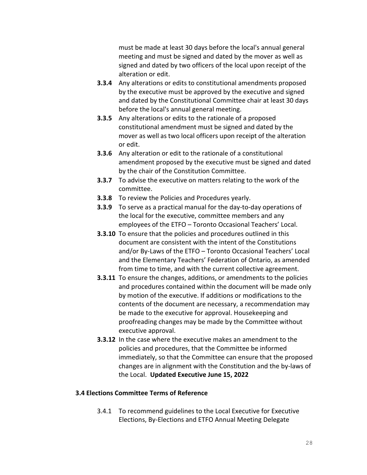must be made at least 30 days before the local's annual general meeting and must be signed and dated by the mover as well as signed and dated by two officers of the local upon receipt of the alteration or edit.

- **3.3.4** Any alterations or edits to constitutional amendments proposed by the executive must be approved by the executive and signed and dated by the Constitutional Committee chair at least 30 days before the local's annual general meeting.
- **3.3.5** Any alterations or edits to the rationale of a proposed constitutional amendment must be signed and dated by the mover as well as two local officers upon receipt of the alteration or edit.
- **3.3.6** Any alteration or edit to the rationale of a constitutional amendment proposed by the executive must be signed and dated by the chair of the Constitution Committee.
- **3.3.7** To advise the executive on matters relating to the work of the committee.
- **3.3.8** To review the Policies and Procedures yearly.
- **3.3.9** To serve as a practical manual for the day-to-day operations of the local for the executive, committee members and any employees of the ETFO – Toronto Occasional Teachers' Local.
- **3.3.10** To ensure that the policies and procedures outlined in this document are consistent with the intent of the Constitutions and/or By-Laws of the ETFO – Toronto Occasional Teachers' Local and the Elementary Teachers' Federation of Ontario, as amended from time to time, and with the current collective agreement.
- **3.3.11** To ensure the changes, additions, or amendments to the policies and procedures contained within the document will be made only by motion of the executive. If additions or modifications to the contents of the document are necessary, a recommendation may be made to the executive for approval. Housekeeping and proofreading changes may be made by the Committee without executive approval.
- **3.3.12** In the case where the executive makes an amendment to the policies and procedures, that the Committee be informed immediately, so that the Committee can ensure that the proposed changes are in alignment with the Constitution and the by-laws of the Local. **Updated Executive June 15, 2022**

#### **3.4 Elections Committee Terms of Reference**

3.4.1 To recommend guidelines to the Local Executive for Executive Elections, By-Elections and ETFO Annual Meeting Delegate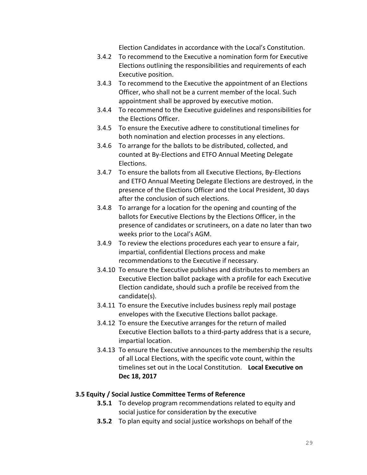Election Candidates in accordance with the Local's Constitution.

- 3.4.2 To recommend to the Executive a nomination form for Executive Elections outlining the responsibilities and requirements of each Executive position.
- 3.4.3 To recommend to the Executive the appointment of an Elections Officer, who shall not be a current member of the local. Such appointment shall be approved by executive motion.
- 3.4.4 To recommend to the Executive guidelines and responsibilities for the Elections Officer.
- 3.4.5 To ensure the Executive adhere to constitutional timelines for both nomination and election processes in any elections.
- 3.4.6 To arrange for the ballots to be distributed, collected, and counted at By-Elections and ETFO Annual Meeting Delegate Elections.
- 3.4.7 To ensure the ballots from all Executive Elections, By-Elections and ETFO Annual Meeting Delegate Elections are destroyed, in the presence of the Elections Officer and the Local President, 30 days after the conclusion of such elections.
- 3.4.8 To arrange for a location for the opening and counting of the ballots for Executive Elections by the Elections Officer, in the presence of candidates or scrutineers, on a date no later than two weeks prior to the Local's AGM.
- 3.4.9 To review the elections procedures each year to ensure a fair, impartial, confidential Elections process and make recommendations to the Executive if necessary.
- 3.4.10 To ensure the Executive publishes and distributes to members an Executive Election ballot package with a profile for each Executive Election candidate, should such a profile be received from the candidate(s).
- 3.4.11 To ensure the Executive includes business reply mail postage envelopes with the Executive Elections ballot package.
- 3.4.12 To ensure the Executive arranges for the return of mailed Executive Election ballots to a third-party address that is a secure, impartial location.
- 3.4.13 To ensure the Executive announces to the membership the results of all Local Elections, with the specific vote count, within the timelines set out in the Local Constitution. **Local Executive on Dec 18, 2017**

#### **3.5 Equity / Social Justice Committee Terms of Reference**

- **3.5.1** To develop program recommendations related to equity and social justice for consideration by the executive
- **3.5.2** To plan equity and social justice workshops on behalf of the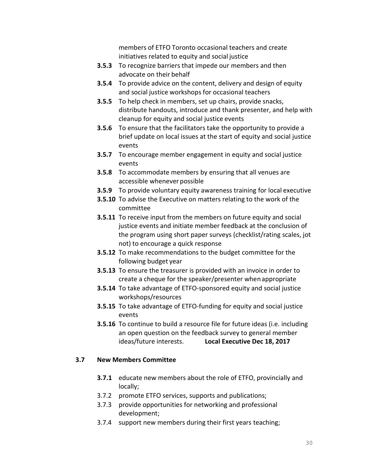members of ETFO Toronto occasional teachers and create initiatives related to equity and social justice

- **3.5.3** To recognize barriers that impede our members and then advocate on their behalf
- **3.5.4** To provide advice on the content, delivery and design of equity and social justice workshops for occasional teachers
- **3.5.5** To help check in members, set up chairs, provide snacks, distribute handouts, introduce and thank presenter, and help with cleanup for equity and social justice events
- **3.5.6** To ensure that the facilitators take the opportunity to provide a brief update on local issues at the start of equity and social justice events
- **3.5.7** To encourage member engagement in equity and social justice events
- **3.5.8** To accommodate members by ensuring that all venues are accessible whenever possible
- **3.5.9** To provide voluntary equity awareness training for local executive
- **3.5.10** To advise the Executive on matters relating to the work of the committee
- **3.5.11** To receive input from the members on future equity and social justice events and initiate member feedback at the conclusion of the program using short paper surveys (checklist/rating scales, jot not) to encourage a quick response
- **3.5.12** To make recommendations to the budget committee for the following budget year
- **3.5.13** To ensure the treasurer is provided with an invoice in order to create a cheque for the speaker/presenter whenappropriate
- **3.5.14** To take advantage of ETFO-sponsored equity and social justice workshops/resources
- **3.5.15** To take advantage of ETFO-funding for equity and social justice events
- **3.5.16** To continue to build a resource file for future ideas (i.e. including an open question on the feedback survey to general member ideas/future interests. **Local Executive Dec 18, 2017**

#### **3.7 New Members Committee**

- **3.7.1** educate new members about the role of ETFO, provincially and locally;
- 3.7.2 promote ETFO services, supports and publications;
- 3.7.3 provide opportunities for networking and professional development;
- 3.7.4 support new members during their first years teaching;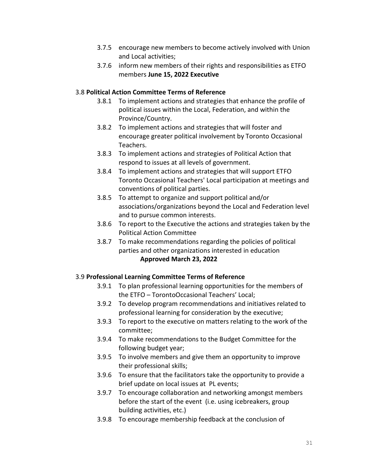- 3.7.5 encourage new members to become actively involved with Union and Local activities;
- 3.7.6 inform new members of their rights and responsibilities as ETFO members **June 15, 2022 Executive**

#### 3.8 **Political Action Committee Terms of Reference**

- 3.8.1 To implement actions and strategies that enhance the profile of political issues within the Local, Federation, and within the Province/Country.
- 3.8.2 To implement actions and strategies that will foster and encourage greater political involvement by Toronto Occasional Teachers.
- 3.8.3 To implement actions and strategies of Political Action that respond to issues at all levels of government.
- 3.8.4 To implement actions and strategies that will support ETFO Toronto Occasional Teachers' Local participation at meetings and conventions of political parties.
- 3.8.5 To attempt to organize and support political and/or associations/organizations beyond the Local and Federation level and to pursue common interests.
- 3.8.6 To report to the Executive the actions and strategies taken by the Political Action Committee
- 3.8.7 To make recommendations regarding the policies of political parties and other organizations interested in education **Approved March 23, 2022**

#### 3.9 **Professional Learning Committee Terms of Reference**

- 3.9.1 To plan professional learning opportunities for the members of the ETFO – TorontoOccasional Teachers' Local;
- 3.9.2 To develop program recommendations and initiatives related to professional learning for consideration by the executive;
- 3.9.3 To report to the executive on matters relating to the work of the committee;
- 3.9.4 To make recommendations to the Budget Committee for the following budget year;
- 3.9.5 To involve members and give them an opportunity to improve their professional skills;
- 3.9.6 To ensure that the facilitators take the opportunity to provide a brief update on local issues at PL events;
- 3.9.7 To encourage collaboration and networking amongst members before the start of the event (i.e. using icebreakers, group building activities, etc.)
- 3.9.8 To encourage membership feedback at the conclusion of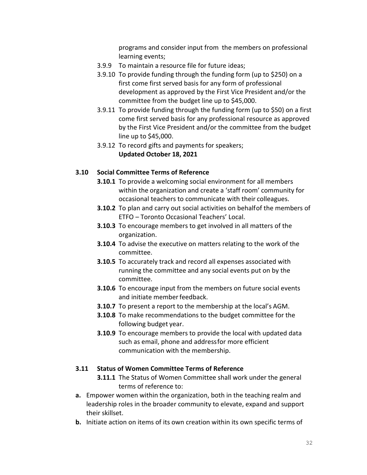programs and consider input from the members on professional learning events;

- 3.9.9 To maintain a resource file for future ideas;
- 3.9.10 To provide funding through the funding form (up to \$250) on a first come first served basis for any form of professional development as approved by the First Vice President and/or the committee from the budget line up to \$45,000.
- 3.9.11 To provide funding through the funding form (up to \$50) on a first come first served basis for any professional resource as approved by the First Vice President and/or the committee from the budget line up to \$45,000.
- 3.9.12 To record gifts and payments for speakers; **Updated October 18, 2021**

#### **3.10 Social Committee Terms of Reference**

- **3.10.1** To provide a welcoming social environment for all members within the organization and create a 'staff room' community for occasional teachers to communicate with their colleagues.
- **3.10.2** To plan and carry out social activities on behalf of the members of ETFO – Toronto Occasional Teachers' Local.
- **3.10.3** To encourage members to get involved in all matters of the organization.
- **3.10.4** To advise the executive on matters relating to the work of the committee.
- **3.10.5** To accurately track and record all expenses associated with running the committee and any social events put on by the committee.
- **3.10.6** To encourage input from the members on future social events and initiate member feedback.
- **3.10.7** To present a report to the membership at the local's AGM.
- **3.10.8** To make recommendations to the budget committee for the following budget year.
- **3.10.9** To encourage members to provide the local with updated data such as email, phone and addressfor more efficient communication with the membership.

#### **3.11 Status of Women Committee Terms of Reference**

- **3.11.1** The Status of Women Committee shall work under the general terms of reference to:
- **a.** Empower women within the organization, both in the teaching realm and leadership roles in the broader community to elevate, expand and support their skillset.
- **b.** Initiate action on items of its own creation within its own specific terms of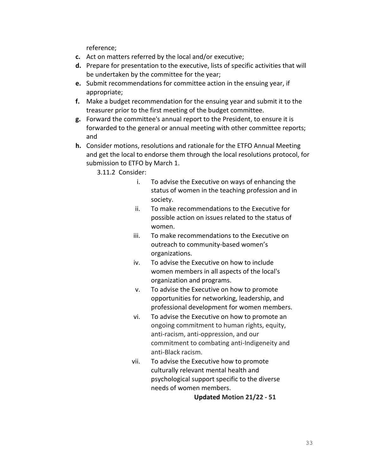reference;

- **c.** Act on matters referred by the local and/or executive;
- **d.** Prepare for presentation to the executive, lists of specific activities that will be undertaken by the committee for the year;
- **e.** Submit recommendations for committee action in the ensuing year, if appropriate;
- **f.** Make a budget recommendation for the ensuing year and submit it to the treasurer prior to the first meeting of the budget committee.
- **g.** Forward the committee's annual report to the President, to ensure it is forwarded to the general or annual meeting with other committee reports; and
- **h.** Consider motions, resolutions and rationale for the ETFO Annual Meeting and get the local to endorse them through the local resolutions protocol, for submission to ETFO by March 1.

3.11.2 Consider:

- i. To advise the Executive on ways of enhancing the status of women in the teaching profession and in society.
- ii. To make recommendations to the Executive for possible action on issues related to the status of women.
- iii. To make recommendations to the Executive on outreach to community-based women's organizations.
- iv. To advise the Executive on how to include women members in all aspects of the local's organization and programs.
- v. To advise the Executive on how to promote opportunities for networking, leadership, and professional development for women members.
- vi. To advise the Executive on how to promote an ongoing commitment to human rights, equity, anti-racism, anti-oppression, and our commitment to combating anti-Indigeneity and anti-Black racism.
- vii. To advise the Executive how to promote culturally relevant mental health and psychological support specific to the diverse needs of women members.

**Updated Motion 21/22 - 51**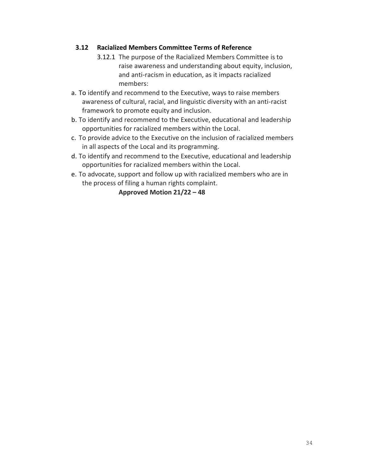## **3.12 Racialized Members Committee Terms of Reference**

- 3.12.1 The purpose of the Racialized Members Committee is to raise awareness and understanding about equity, inclusion, and anti-racism in education, as it impacts racialized members:
- a. To identify and recommend to the Executive, ways to raise members awareness of cultural, racial, and linguistic diversity with an anti-racist framework to promote equity and inclusion.
- b. To identify and recommend to the Executive, educational and leadership opportunities for racialized members within the Local.
- c. To provide advice to the Executive on the inclusion of racialized members in all aspects of the Local and its programming.
- d. To identify and recommend to the Executive, educational and leadership opportunities for racialized members within the Local.
- e. To advocate, support and follow up with racialized members who are in the process of filing a human rights complaint.

**Approved Motion 21/22 – 48**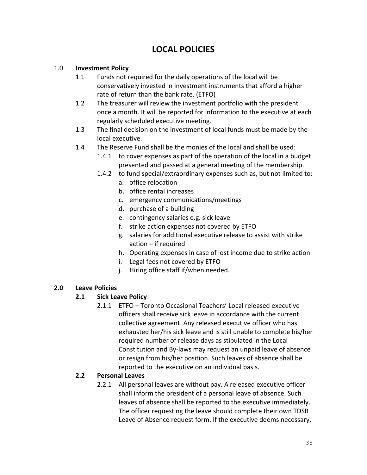## **LOCAL POLICIES**

## 1.0 **Investment Policy**

- 1.1 Funds not required for the daily operations of the local will be conservatively invested in investment instruments that afford a higher rate of return than the bank rate. (ETFO)
- 1.2 The treasurer will review the investment portfolio with the president once a month. It will be reported for information to the executive at each regularly scheduled executive meeting.
- 1.3 The final decision on the investment of local funds must be made by the local executive.
- 1.4 The Reserve Fund shall be the monies of the local and shall be used:
	- 1.4.1 to cover expenses as part of the operation of the local in a budget presented and passed at a general meeting of the membership.
	- 1.4.2 to fund special/extraordinary expenses such as, but not limited to:
		- a. office relocation
		- b. office rental increases
		- c. emergency communications/meetings
		- d. purchase of a building
		- e. contingency salaries e.g. sick leave
		- f. strike action expenses not covered by ETFO
		- g. salaries for additional executive release to assist with strike action – if required
		- h. Operating expenses in case of lost income due to strike action
		- i. Legal fees not covered by ETFO
		- j. Hiring office staff if/when needed.

## **2.0 Leave Policies**

## **2.1 Sick Leave Policy**

2.1.1 ETFO – Toronto Occasional Teachers' Local released executive officers shall receive sick leave in accordance with the current collective agreement. Any released executive officer who has exhausted her/his sick leave and is still unable to complete his/her required number of release days as stipulated in the Local Constitution and By-laws may request an unpaid leave of absence or resign from his/her position. Such leaves of absence shall be reported to the executive on an individual basis.

#### **2.2 Personal Leaves**

2.2.1 All personal leaves are without pay. A released executive officer shall inform the president of a personal leave of absence. Such leaves of absence shall be reported to the executive immediately. The officer requesting the leave should complete their own TDSB Leave of Absence request form. If the executive deems necessary,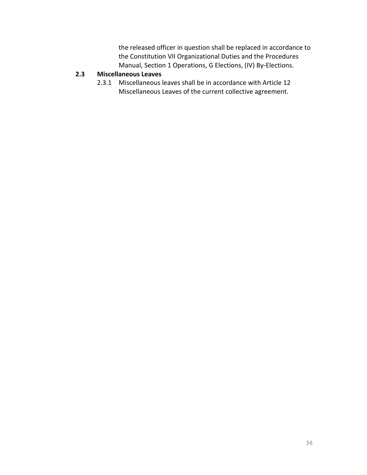the released officer in question shall be replaced in accordance to the Constitution VII Organizational Duties and the Procedures Manual, Section 1 Operations, G Elections, (IV) By-Elections.

## **2.3 Miscellaneous Leaves**

2.3.1 Miscellaneous leaves shall be in accordance with Article 12 Miscellaneous Leaves of the current collective agreement.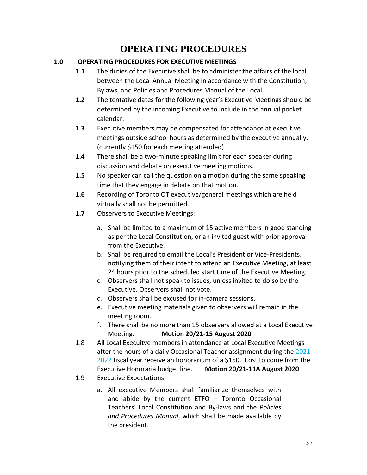# **OPERATING PROCEDURES**

# **1.0 OPERATING PROCEDURES FOR EXECUTIVE MEETINGS**

- **1.1** The duties of the Executive shall be to administer the affairs of the local between the Local Annual Meeting in accordance with the Constitution, Bylaws, and Policies and Procedures Manual of the Local.
- **1.2** The tentative dates for the following year's Executive Meetings should be determined by the incoming Executive to include in the annual pocket calendar.
- **1.3** Executive members may be compensated for attendance at executive meetings outside school hours as determined by the executive annually. (currently \$150 for each meeting attended)
- **1.4** There shall be a two-minute speaking limit for each speaker during discussion and debate on executive meeting motions.
- **1.5** No speaker can call the question on a motion during the same speaking time that they engage in debate on that motion.
- **1.6** Recording of Toronto OT executive/general meetings which are held virtually shall not be permitted.
- **1.7** Observers to Executive Meetings:
	- a. Shall be limited to a maximum of 15 active members in good standing as per the Local Constitution, or an invited guest with prior approval from the Executive.
	- b. Shall be required to email the Local's President or Vice-Presidents, notifying them of their intent to attend an Executive Meeting, at least 24 hours prior to the scheduled start time of the Executive Meeting.
	- c. Observers shall not speak to issues, unless invited to do so by the Executive. Observers shall not vote.
	- d. Observers shall be excused for in-camera sessions.
	- e. Executive meeting materials given to observers will remain in the meeting room.
	- f. There shall be no more than 15 observers allowed at a Local Executive Meeting. **Motion 20/21-15 August 2020**
- 1.8 All Local Execuitve members in attendance at Local Executive Meetings after the hours of a daily Occasional Teacher assignment during the 2021- 2022 fiscal year receive an honorarium of a \$150. Cost to come from the Executive Honoraria budget line. **Motion 20/21-11A August 2020**
- 1.9 Executive Expectations:
	- a. All executive Members shall familiarize themselves with and abide by the current ETFO – Toronto Occasional Teachers' Local Constitution and By-laws and the *Policies and Procedures Manual*, which shall be made available by the president.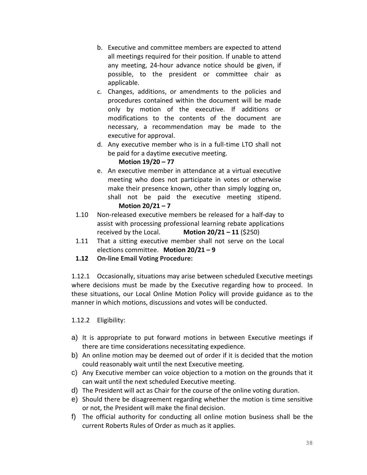- b. Executive and committee members are expected to attend all meetings required for their position. If unable to attend any meeting, 24-hour advance notice should be given, if possible, to the president or committee chair as applicable.
- c. Changes, additions, or amendments to the policies and procedures contained within the document will be made only by motion of the executive. If additions or modifications to the contents of the document are necessary, a recommendation may be made to the executive for approval.
- d. Any executive member who is in a full-time LTO shall not be paid for a daytime executive meeting.

# **Motion 19/20 – 77**

- e. An executive member in attendance at a virtual executive meeting who does not participate in votes or otherwise make their presence known, other than simply logging on, shall not be paid the executive meeting stipend. **Motion 20/21 – 7**
- 1.10 Non-released executive members be released for a half-day to assist with processing professional learning rebate applications received by the Local. **Motion**  $20/21 - 11$  (\$250)
- 1.11 That a sitting executive member shall not serve on the Local elections committee. **Motion 20/21 – 9**
- **1.12 On-line Email Voting Procedure:**

1.12.1 Occasionally, situations may arise between scheduled Executive meetings where decisions must be made by the Executive regarding how to proceed. In these situations, our Local Online Motion Policy will provide guidance as to the manner in which motions, discussions and votes will be conducted.

# 1.12.2 Eligibility:

- a) It is appropriate to put forward motions in between Executive meetings if there are time considerations necessitating expedience.
- b) An online motion may be deemed out of order if it is decided that the motion could reasonably wait until the next Executive meeting.
- c) Any Executive member can voice objection to a motion on the grounds that it can wait until the next scheduled Executive meeting.
- d) The President will act as Chair for the course of the online voting duration.
- e) Should there be disagreement regarding whether the motion is time sensitive or not, the President will make the final decision.
- f) The official authority for conducting all online motion business shall be the current Roberts Rules of Order as much as it applies.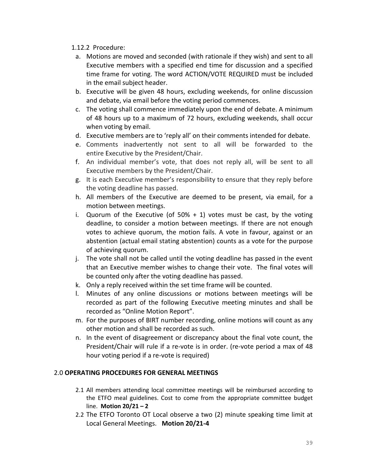## 1.12.2 Procedure:

- a. Motions are moved and seconded (with rationale if they wish) and sent to all Executive members with a specified end time for discussion and a specified time frame for voting. The word ACTION/VOTE REQUIRED must be included in the email subject header.
- b. Executive will be given 48 hours, excluding weekends, for online discussion and debate, via email before the voting period commences.
- c. The voting shall commence immediately upon the end of debate. A minimum of 48 hours up to a maximum of 72 hours, excluding weekends, shall occur when voting by email.
- d. Executive members are to 'reply all' on their comments intended for debate.
- e. Comments inadvertently not sent to all will be forwarded to the entire Executive by the President/Chair.
- f. An individual member's vote, that does not reply all, will be sent to all Executive members by the President/Chair.
- g. It is each Executive member's responsibility to ensure that they reply before the voting deadline has passed.
- h. All members of the Executive are deemed to be present, via email, for a motion between meetings.
- i. Quorum of the Executive (of  $50\% + 1$ ) votes must be cast, by the voting deadline, to consider a motion between meetings. If there are not enough votes to achieve quorum, the motion fails. A vote in favour, against or an abstention (actual email stating abstention) counts as a vote for the purpose of achieving quorum.
- j. The vote shall not be called until the voting deadline has passed in the event that an Executive member wishes to change their vote. The final votes will be counted only after the voting deadline has passed.
- k. Only a reply received within the set time frame will be counted.
- l. Minutes of any online discussions or motions between meetings will be recorded as part of the following Executive meeting minutes and shall be recorded as "Online Motion Report".
- m. For the purposes of BIRT number recording, online motions will count as any other motion and shall be recorded as such.
- n. In the event of disagreement or discrepancy about the final vote count, the President/Chair will rule if a re-vote is in order. (re-vote period a max of 48 hour voting period if a re-vote is required)

# 2.0 **OPERATING PROCEDURES FOR GENERAL MEETINGS**

- 2.1 All members attending local committee meetings will be reimbursed according to the ETFO meal guidelines. Cost to come from the appropriate committee budget line. **Motion 20/21 – 2**
- 2.2 The ETFO Toronto OT Local observe a two (2) minute speaking time limit at Local General Meetings. **Motion 20/21-4**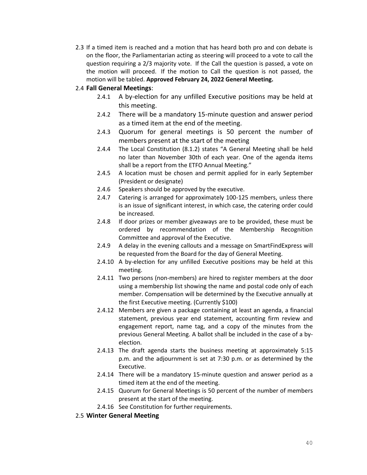2.3 If a timed item is reached and a motion that has heard both pro and con debate is on the floor, the Parliamentarian acting as steering will proceed to a vote to call the question requiring a 2/3 majority vote. If the Call the question is passed, a vote on the motion will proceed. If the motion to Call the question is not passed, the motion will be tabled. **Approved February 24, 2022 General Meeting.**

#### 2.4 **Fall General Meetings**:

- 2.4.1 A by-election for any unfilled Executive positions may be held at this meeting.
- 2.4.2 There will be a mandatory 15-minute question and answer period as a timed item at the end of the meeting.
- 2.4.3 Quorum for general meetings is 50 percent the number of members present at the start of the meeting
- 2.4.4 The Local Constitution (8.1.2) states "A General Meeting shall be held no later than November 30th of each year. One of the agenda items shall be a report from the ETFO Annual Meeting."
- 2.4.5 A location must be chosen and permit applied for in early September (President or designate)
- 2.4.6 Speakers should be approved by the executive.
- 2.4.7 Catering is arranged for approximately 100-125 members, unless there is an issue of significant interest, in which case, the catering order could be increased.
- 2.4.8 If door prizes or member giveaways are to be provided, these must be ordered by recommendation of the Membership Recognition Committee and approval of the Executive.
- 2.4.9 A delay in the evening callouts and a message on SmartFindExpress will be requested from the Board for the day of General Meeting.
- 2.4.10 A by-election for any unfilled Executive positions may be held at this meeting.
- 2.4.11 Two persons (non-members) are hired to register members at the door using a membership list showing the name and postal code only of each member. Compensation will be determined by the Executive annually at the first Executive meeting. (Currently \$100)
- 2.4.12 Members are given a package containing at least an agenda, a financial statement, previous year end statement, accounting firm review and engagement report, name tag, and a copy of the minutes from the previous General Meeting. A ballot shall be included in the case of a byelection.
- 2.4.13 The draft agenda starts the business meeting at approximately 5:15 p.m. and the adjournment is set at 7:30 p.m. or as determined by the Executive.
- 2.4.14 There will be a mandatory 15-minute question and answer period as a timed item at the end of the meeting.
- 2.4.15 Quorum for General Meetings is 50 percent of the number of members present at the start of the meeting.
- 2.4.16 See Constitution for further requirements.

#### 2.5 **Winter General Meeting**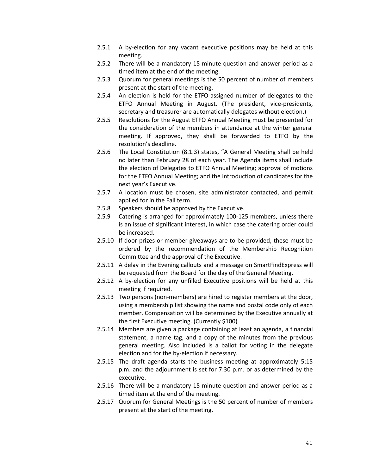- 2.5.1 A by-election for any vacant executive positions may be held at this meeting.
- 2.5.2 There will be a mandatory 15-minute question and answer period as a timed item at the end of the meeting.
- 2.5.3 Quorum for general meetings is the 50 percent of number of members present at the start of the meeting.
- 2.5.4 An election is held for the ETFO-assigned number of delegates to the ETFO Annual Meeting in August. (The president, vice-presidents, secretary and treasurer are automatically delegates without election.)
- 2.5.5 Resolutions for the August ETFO Annual Meeting must be presented for the consideration of the members in attendance at the winter general meeting. If approved, they shall be forwarded to ETFO by the resolution's deadline.
- 2.5.6 The Local Constitution (8.1.3) states, "A General Meeting shall be held no later than February 28 of each year. The Agenda items shall include the election of Delegates to ETFO Annual Meeting; approval of motions for the ETFO Annual Meeting; and the introduction of candidates for the next year's Executive.
- 2.5.7 A location must be chosen, site administrator contacted, and permit applied for in the Fall term.
- 2.5.8 Speakers should be approved by the Executive.
- 2.5.9 Catering is arranged for approximately 100-125 members, unless there is an issue of significant interest, in which case the catering order could be increased.
- 2.5.10 If door prizes or member giveaways are to be provided, these must be ordered by the recommendation of the Membership Recognition Committee and the approval of the Executive.
- 2.5.11 A delay in the Evening callouts and a message on SmartFindExpress will be requested from the Board for the day of the General Meeting.
- 2.5.12 A by-election for any unfilled Executive positions will be held at this meeting if required.
- 2.5.13 Two persons (non-members) are hired to register members at the door, using a membership list showing the name and postal code only of each member. Compensation will be determined by the Executive annually at the first Executive meeting. (Currently \$100)
- 2.5.14 Members are given a package containing at least an agenda, a financial statement, a name tag, and a copy of the minutes from the previous general meeting. Also included is a ballot for voting in the delegate election and for the by-election if necessary.
- 2.5.15 The draft agenda starts the business meeting at approximately 5:15 p.m. and the adjournment is set for 7:30 p.m. or as determined by the executive.
- 2.5.16 There will be a mandatory 15-minute question and answer period as a timed item at the end of the meeting.
- 2.5.17 Quorum for General Meetings is the 50 percent of number of members present at the start of the meeting.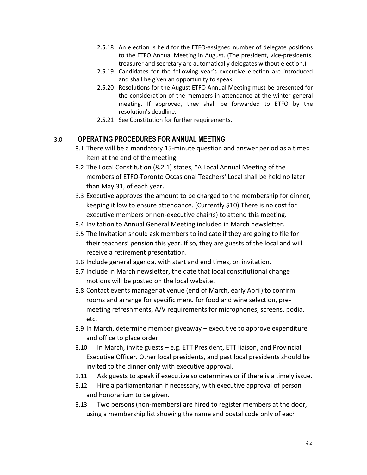- 2.5.18 An election is held for the ETFO-assigned number of delegate positions to the ETFO Annual Meeting in August. (The president, vice-presidents, treasurer and secretary are automatically delegates without election.)
- 2.5.19 Candidates for the following year's executive election are introduced and shall be given an opportunity to speak.
- 2.5.20 Resolutions for the August ETFO Annual Meeting must be presented for the consideration of the members in attendance at the winter general meeting. If approved, they shall be forwarded to ETFO by the resolution's deadline.
- 2.5.21 See Constitution for further requirements.

# 3.0 **OPERATING PROCEDURES FOR ANNUAL MEETING**

- 3.1 There will be a mandatory 15-minute question and answer period as a timed item at the end of the meeting.
- 3.2 The Local Constitution (8.2.1) states, "A Local Annual Meeting of the members of ETFO-Toronto Occasional Teachers' Local shall be held no later than May 31, of each year.
- 3.3 Executive approves the amount to be charged to the membership for dinner, keeping it low to ensure attendance. (Currently \$10) There is no cost for executive members or non-executive chair(s) to attend this meeting.
- 3.4 Invitation to Annual General Meeting included in March newsletter.
- 3.5 The Invitation should ask members to indicate if they are going to file for their teachers' pension this year. If so, they are guests of the local and will receive a retirement presentation.
- 3.6 Include general agenda, with start and end times, on invitation.
- 3.7 Include in March newsletter, the date that local constitutional change motions will be posted on the local website.
- 3.8 Contact events manager at venue (end of March, early April) to confirm rooms and arrange for specific menu for food and wine selection, premeeting refreshments, A/V requirements for microphones, screens, podia, etc.
- 3.9 In March, determine member giveaway executive to approve expenditure and office to place order.
- 3.10 In March, invite guests e.g. ETT President, ETT liaison, and Provincial Executive Officer. Other local presidents, and past local presidents should be invited to the dinner only with executive approval.
- 3.11 Ask guests to speak if executive so determines or if there is a timely issue.
- 3.12 Hire a parliamentarian if necessary, with executive approval of person and honorarium to be given.
- 3.13 Two persons (non-members) are hired to register members at the door, using a membership list showing the name and postal code only of each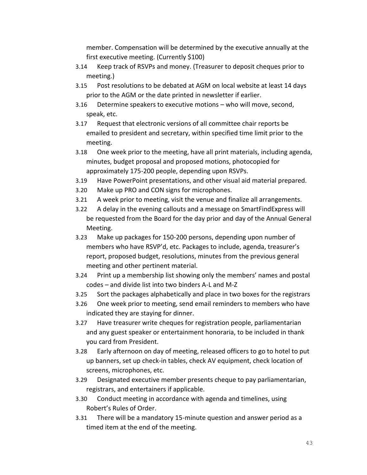member. Compensation will be determined by the executive annually at the first executive meeting. (Currently \$100)

- 3.14 Keep track of RSVPs and money. (Treasurer to deposit cheques prior to meeting.)
- 3.15 Post resolutions to be debated at AGM on local website at least 14 days prior to the AGM or the date printed in newsletter if earlier.
- 3.16 Determine speakers to executive motions who will move, second, speak, etc.
- 3.17 Request that electronic versions of all committee chair reports be emailed to president and secretary, within specified time limit prior to the meeting.
- 3.18 One week prior to the meeting, have all print materials, including agenda, minutes, budget proposal and proposed motions, photocopied for approximately 175-200 people, depending upon RSVPs.
- 3.19 Have PowerPoint presentations, and other visual aid material prepared.
- 3.20 Make up PRO and CON signs for microphones.
- 3.21 A week prior to meeting, visit the venue and finalize all arrangements.
- 3.22 A delay in the evening callouts and a message on SmartFindExpress will be requested from the Board for the day prior and day of the Annual General Meeting.
- 3.23 Make up packages for 150-200 persons, depending upon number of members who have RSVP'd, etc. Packages to include, agenda, treasurer's report, proposed budget, resolutions, minutes from the previous general meeting and other pertinent material.
- 3.24 Print up a membership list showing only the members' names and postal codes – and divide list into two binders A-L and M-Z
- 3.25 Sort the packages alphabetically and place in two boxes for the registrars
- 3.26 One week prior to meeting, send email reminders to members who have indicated they are staying for dinner.
- 3.27 Have treasurer write cheques for registration people, parliamentarian and any guest speaker or entertainment honoraria, to be included in thank you card from President.
- 3.28 Early afternoon on day of meeting, released officers to go to hotel to put up banners, set up check-in tables, check AV equipment, check location of screens, microphones, etc.
- 3.29 Designated executive member presents cheque to pay parliamentarian, registrars, and entertainers if applicable.
- 3.30 Conduct meeting in accordance with agenda and timelines, using Robert's Rules of Order.
- 3.31 There will be a mandatory 15-minute question and answer period as a timed item at the end of the meeting.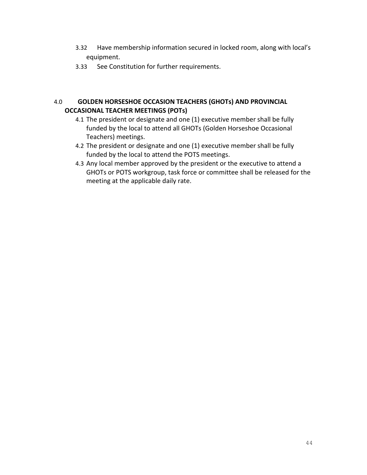- 3.32 Have membership information secured in locked room, along with local's equipment.
- 3.33 See Constitution for further requirements.

## 4.0 **GOLDEN HORSESHOE OCCASION TEACHERS (GHOTs) AND PROVINCIAL OCCASIONAL TEACHER MEETINGS (POTs)**

- 4.1 The president or designate and one (1) executive member shall be fully funded by the local to attend all GHOTs (Golden Horseshoe Occasional Teachers) meetings.
- 4.2 The president or designate and one (1) executive member shall be fully funded by the local to attend the POTS meetings.
- 4.3 Any local member approved by the president or the executive to attend a GHOTs or POTS workgroup, task force or committee shall be released for the meeting at the applicable daily rate.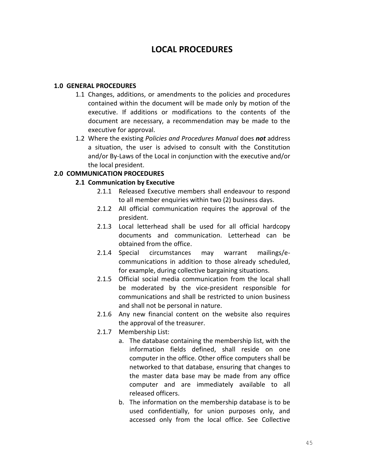# **LOCAL PROCEDURES**

#### **1.0 GENERAL PROCEDURES**

- 1.1 Changes, additions, or amendments to the policies and procedures contained within the document will be made only by motion of the executive. If additions or modifications to the contents of the document are necessary, a recommendation may be made to the executive for approval.
- 1.2 Where the existing *Policies and Procedures Manual* does *not* address a situation, the user is advised to consult with the Constitution and/or By-Laws of the Local in conjunction with the executive and/or the local president.

## **2.0 COMMUNICATION PROCEDURES**

## **2.1 Communication by Executive**

- 2.1.1 Released Executive members shall endeavour to respond to all member enquiries within two (2) business days.
- 2.1.2 All official communication requires the approval of the president.
- 2.1.3 Local letterhead shall be used for all official hardcopy documents and communication. Letterhead can be obtained from the office.
- 2.1.4 Special circumstances may warrant mailings/ecommunications in addition to those already scheduled, for example, during collective bargaining situations.
- 2.1.5 Official social media communication from the local shall be moderated by the vice-president responsible for communications and shall be restricted to union business and shall not be personal in nature.
- 2.1.6 Any new financial content on the website also requires the approval of the treasurer.
- 2.1.7 Membership List:
	- a. The database containing the membership list, with the information fields defined, shall reside on one computer in the office. Other office computers shall be networked to that database, ensuring that changes to the master data base may be made from any office computer and are immediately available to all released officers.
	- b. The information on the membership database is to be used confidentially, for union purposes only, and accessed only from the local office. See Collective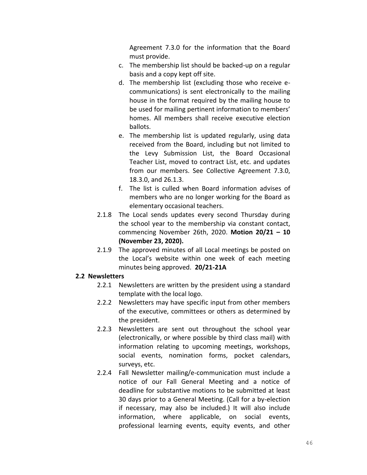Agreement 7.3.0 for the information that the Board must provide.

- c. The membership list should be backed-up on a regular basis and a copy kept off site.
- d. The membership list (excluding those who receive ecommunications) is sent electronically to the mailing house in the format required by the mailing house to be used for mailing pertinent information to members' homes. All members shall receive executive election ballots.
- e. The membership list is updated regularly, using data received from the Board, including but not limited to the Levy Submission List, the Board Occasional Teacher List, moved to contract List, etc. and updates from our members. See Collective Agreement 7.3.0, 18.3.0, and 26.1.3.
- f. The list is culled when Board information advises of members who are no longer working for the Board as elementary occasional teachers.
- 2.1.8 The Local sends updates every second Thursday during the school year to the membership via constant contact, commencing November 26th, 2020. **Motion 20/21 – 10 (November 23, 2020).**
- 2.1.9 The approved minutes of all Local meetings be posted on the Local's website within one week of each meeting minutes being approved. **20/21-21A**

## **2.2 Newsletters**

- 2.2.1 Newsletters are written by the president using a standard template with the local logo.
- 2.2.2 Newsletters may have specific input from other members of the executive, committees or others as determined by the president.
- 2.2.3 Newsletters are sent out throughout the school year (electronically, or where possible by third class mail) with information relating to upcoming meetings, workshops, social events, nomination forms, pocket calendars, surveys, etc.
- 2.2.4 Fall Newsletter mailing/e-communication must include a notice of our Fall General Meeting and a notice of deadline for substantive motions to be submitted at least 30 days prior to a General Meeting. (Call for a by-election if necessary, may also be included.) It will also include information, where applicable, on social events, professional learning events, equity events, and other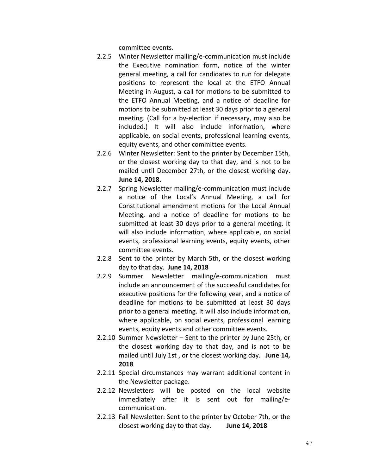committee events.

- 2.2.5 Winter Newsletter mailing/e-communication must include the Executive nomination form, notice of the winter general meeting, a call for candidates to run for delegate positions to represent the local at the ETFO Annual Meeting in August, a call for motions to be submitted to the ETFO Annual Meeting, and a notice of deadline for motions to be submitted at least 30 days prior to a general meeting. (Call for a by-election if necessary, may also be included.) It will also include information, where applicable, on social events, professional learning events, equity events, and other committee events.
- 2.2.6 Winter Newsletter: Sent to the printer by December 15th, or the closest working day to that day, and is not to be mailed until December 27th, or the closest working day. **June 14, 2018.**
- 2.2.7 Spring Newsletter mailing/e-communication must include a notice of the Local's Annual Meeting, a call for Constitutional amendment motions for the Local Annual Meeting, and a notice of deadline for motions to be submitted at least 30 days prior to a general meeting. It will also include information, where applicable, on social events, professional learning events, equity events, other committee events.
- 2.2.8 Sent to the printer by March 5th, or the closest working day to that day. **June 14, 2018**
- 2.2.9 Summer Newsletter mailing/e-communication must include an announcement of the successful candidates for executive positions for the following year, and a notice of deadline for motions to be submitted at least 30 days prior to a general meeting. It will also include information, where applicable, on social events, professional learning events, equity events and other committee events.
- 2.2.10 Summer Newsletter Sent to the printer by June 25th, or the closest working day to that day, and is not to be mailed until July 1st , or the closest working day. **June 14, 2018**
- 2.2.11 Special circumstances may warrant additional content in the Newsletter package.
- 2.2.12 Newsletters will be posted on the local website immediately after it is sent out for mailing/ecommunication.
- 2.2.13 Fall Newsletter: Sent to the printer by October 7th, or the closest working day to that day. **June 14, 2018**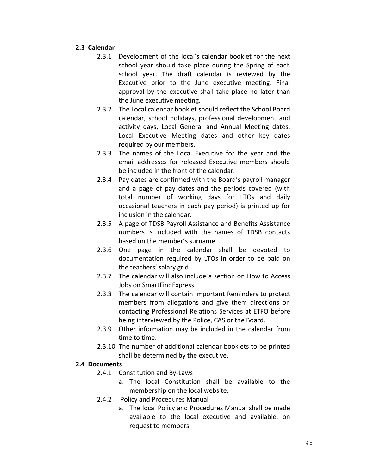## **2.3 Calendar**

- 2.3.1 Development of the local's calendar booklet for the next school year should take place during the Spring of each school year. The draft calendar is reviewed by the Executive prior to the June executive meeting. Final approval by the executive shall take place no later than the June executive meeting.
- 2.3.2 The Local calendar booklet should reflect the School Board calendar, school holidays, professional development and activity days, Local General and Annual Meeting dates, Local Executive Meeting dates and other key dates required by our members.
- 2.3.3 The names of the Local Executive for the year and the email addresses for released Executive members should be included in the front of the calendar.
- 2.3.4 Pay dates are confirmed with the Board's payroll manager and a page of pay dates and the periods covered (with total number of working days for LTOs and daily occasional teachers in each pay period) is printed up for inclusion in the calendar.
- 2.3.5 A page of TDSB Payroll Assistance and Benefits Assistance numbers is included with the names of TDSB contacts based on the member's surname.
- 2.3.6 One page in the calendar shall be devoted to documentation required by LTOs in order to be paid on the teachers' salary grid.
- 2.3.7 The calendar will also include a section on How to Access Jobs on SmartFindExpress.
- 2.3.8 The calendar will contain Important Reminders to protect members from allegations and give them directions on contacting Professional Relations Services at ETFO before being interviewed by the Police, CAS or the Board.
- 2.3.9 Other information may be included in the calendar from time to time.
- 2.3.10 The number of additional calendar booklets to be printed shall be determined by the executive.

# **2.4 Documents**

- 2.4.1 Constitution and By-Laws
	- a. The local Constitution shall be available to the membership on the local website.
- 2.4.2 Policy and Procedures Manual
	- a. The local Policy and Procedures Manual shall be made available to the local executive and available, on request to members.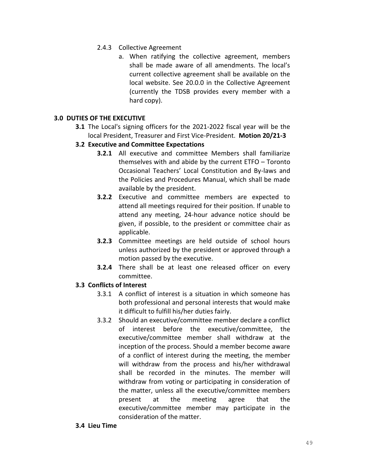- 2.4.3 Collective Agreement
	- a. When ratifying the collective agreement, members shall be made aware of all amendments. The local's current collective agreement shall be available on the local website. See 20.0.0 in the Collective Agreement (currently the TDSB provides every member with a hard copy).

## **3.0 DUTIES OF THE EXECUTIVE**

- **3.1** The Local's signing officers for the 2021-2022 fiscal year will be the local President, Treasurer and First Vice-President. **Motion 20/21-3**
- **3.2 Executive and Committee Expectations**
	- **3.2.1** All executive and committee Members shall familiarize themselves with and abide by the current ETFO – Toronto Occasional Teachers' Local Constitution and By-laws and the Policies and Procedures Manual, which shall be made available by the president.
	- **3.2.2** Executive and committee members are expected to attend all meetings required for their position. If unable to attend any meeting, 24-hour advance notice should be given, if possible, to the president or committee chair as applicable.
	- **3.2.3** Committee meetings are held outside of school hours unless authorized by the president or approved through a motion passed by the executive.
	- **3.2.4** There shall be at least one released officer on every committee.

# **3.3 Conflicts of Interest**

- 3.3.1 A conflict of interest is a situation in which someone has both professional and personal interests that would make it difficult to fulfill his/her duties fairly.
- 3.3.2 Should an executive/committee member declare a conflict of interest before the executive/committee, the executive/committee member shall withdraw at the inception of the process. Should a member become aware of a conflict of interest during the meeting, the member will withdraw from the process and his/her withdrawal shall be recorded in the minutes. The member will withdraw from voting or participating in consideration of the matter, unless all the executive/committee members present at the meeting agree that the executive/committee member may participate in the consideration of the matter.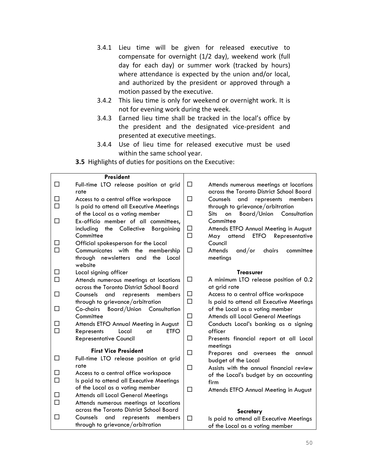- 3.4.1 Lieu time will be given for released executive to compensate for overnight (1/2 day), weekend work (full day for each day) or summer work (tracked by hours) where attendance is expected by the union and/or local, and authorized by the president or approved through a motion passed by the executive.
- 3.4.2 This lieu time is only for weekend or overnight work. It is not for evening work during the week.
- 3.4.3 Earned lieu time shall be tracked in the local's office by the president and the designated vice-president and presented at executive meetings.
- 3.4.4 Use of lieu time for released executive must be used within the same school year.

**3.5** Highlights of duties for positions on the Executive:

|             | <b>President</b>                                                                  |                  |                                                                                    |
|-------------|-----------------------------------------------------------------------------------|------------------|------------------------------------------------------------------------------------|
| □           | Full-time LTO release position at grid<br>rate                                    | □                | Attends numerous meetings at locations<br>across the Toronto District School Board |
| ш           | Access to a central office workspace                                              | □                | Counsels<br>and<br>members<br>represents                                           |
| $\Box$      | Is paid to attend all Executive Meetings                                          |                  | through to grievance/arbitration                                                   |
|             | of the Local as a voting member                                                   | $\Box$           | <b>Sits</b><br>on<br><b>Board/Union</b> Consultation                               |
| $\Box$      | Ex-officio member of all committees,                                              |                  | Committee                                                                          |
|             | including<br>the Collective<br><b>Bargaining</b>                                  | □                | Attends ETFO Annual Meeting in August                                              |
|             | Committee                                                                         | $\Box$           | <b>ETFO</b><br>May attend<br>Representative                                        |
| ப           | Official spokesperson for the Local                                               |                  | Council                                                                            |
| $\Box$      | Communicates with<br>the<br>membership                                            | □                | <b>Attends</b><br>and/or<br>chairs<br>committee                                    |
|             | through newsletters<br>and<br>the<br>Local                                        |                  | meetings                                                                           |
|             | website                                                                           |                  |                                                                                    |
| □           | Local signing officer                                                             |                  | <b>Treasurer</b>                                                                   |
| $\Box$      | Attends numerous meetings at locations                                            | $\Box$           | A minimum LTO release position of 0.2                                              |
|             | across the Toronto District School Board                                          |                  | at grid rate                                                                       |
| □           | Counsels<br>and<br>represents<br>members                                          | $\Box$           | Access to a central office workspace                                               |
|             | through to grievance/arbitration                                                  | $\Box$           | Is paid to attend all Executive Meetings                                           |
| □           | Co-chairs Board/Union Consultation                                                |                  | of the Local as a voting member                                                    |
| □           | Committee                                                                         | $\Box$<br>$\Box$ | <b>Attends all Local General Meetings</b>                                          |
| $\Box$      | Attends ETFO Annual Meeting in August<br><b>ETFO</b><br>Represents<br>Local<br>at |                  | Conducts Local's banking as a signing<br>officer                                   |
|             | <b>Representative Council</b>                                                     | □                | Presents financial report at all Local                                             |
|             |                                                                                   |                  | meetings                                                                           |
|             | <b>First Vice President</b>                                                       | $\Box$           | Prepares and oversees the annual                                                   |
| $\Box$      | Full-time LTO release position at grid                                            |                  | budget of the Local                                                                |
|             | rate                                                                              | $\Box$           | Assists with the annual financial review                                           |
| □<br>$\Box$ | Access to a central office workspace                                              |                  | of the Local's budget by an accounting                                             |
|             | Is paid to attend all Executive Meetings                                          |                  | firm                                                                               |
| □           | of the Local as a voting member<br><b>Attends all Local General Meetings</b>      | □                | Attends ETFO Annual Meeting in August                                              |
| $\Box$      | Attends numerous meetings at locations                                            |                  |                                                                                    |
|             | across the Toronto District School Board                                          |                  |                                                                                    |
| □           | Counsels<br>and<br>represents<br>members                                          |                  | Secretary                                                                          |
|             | through to grievance/arbitration                                                  | □                | Is paid to attend all Executive Meetings                                           |
|             |                                                                                   |                  | of the Local as a voting member                                                    |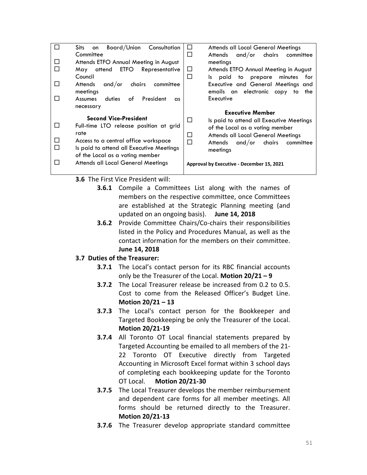|              | Board/Union<br>Consultation<br><b>Sits</b><br>on                            | Attends all Local General Meetings<br>ப       |
|--------------|-----------------------------------------------------------------------------|-----------------------------------------------|
|              | Committee                                                                   | and/or chairs<br>П<br>Attends<br>committee    |
| $\mathbf{I}$ | Attends ETFO Annual Meeting in August                                       | meetings                                      |
|              | attend ETFO<br>Representative<br>May                                        | Attends ETFO Annual Meeting in August<br>Ш    |
|              | Council                                                                     | □<br>paid<br>to prepare minutes<br>for<br>ls. |
| П            | and/or<br>Attends<br>chairs<br>committee                                    | Executive and General Meetings and            |
|              | meetings                                                                    | emails an electronic copy<br>to<br>the        |
| $\mathsf{L}$ | of<br>President<br>Assumes<br>duties<br>$\alpha$ s                          | Executive                                     |
|              | necessary                                                                   |                                               |
|              |                                                                             |                                               |
|              |                                                                             | <b>Executive Member</b>                       |
|              | <b>Second Vice-President</b>                                                | $\Box$                                        |
| $\mathbf{L}$ | Full-time LTO release position at grid                                      | Is paid to attend all Executive Meetings      |
|              | rate                                                                        | of the Local as a voting member               |
| П            |                                                                             | □<br>Attends all Local General Meetings       |
|              | Access to a central office workspace                                        | П<br>and/or<br>chairs<br>Attends<br>committee |
|              | Is paid to attend all Executive Meetings<br>of the Local as a voting member | meetings                                      |
| П            |                                                                             |                                               |
|              | <b>Attends all Local General Meetings</b>                                   | Approval by Executive - December 15, 2021     |

- **3.6** The First Vice President will:
	- **3.6.1** Compile a Committees List along with the names of members on the respective committee, once Committees are established at the Strategic Planning meeting (and updated on an ongoing basis). **June 14, 2018**
	- **3.6.2** Provide Committee Chairs/Co-chairs their responsibilities listed in the Policy and Procedures Manual, as well as the contact information for the members on their committee. **June 14, 2018**
- **3.7 Duties of the Treasurer:**
	- **3.7.1** The Local's contact person for its RBC financial accounts only be the Treasurer of the Local. **Motion 20/21 – 9**
	- **3.7.2** The Local Treasurer release be increased from 0.2 to 0.5. Cost to come from the Released Officer's Budget Line. **Motion 20/21 – 13**
	- **3.7.3** The Local's contact person for the Bookkeeper and Targeted Bookkeeping be only the Treasurer of the Local. **Motion 20/21-19**
	- **3.7.4** All Toronto OT Local financial statements prepared by Targeted Accounting be emailed to all members of the 21- 22 Toronto OT Executive directly from Targeted Accounting in Microsoft Excel format within 3 school days of completing each bookkeeping update for the Toronto OT Local. **Motion 20/21-30**
	- **3.7.5** The Local Treasurer develops the member reimbursement and dependent care forms for all member meetings. All forms should be returned directly to the Treasurer. **Motion 20/21-13**
	- **3.7.6** The Treasurer develop appropriate standard committee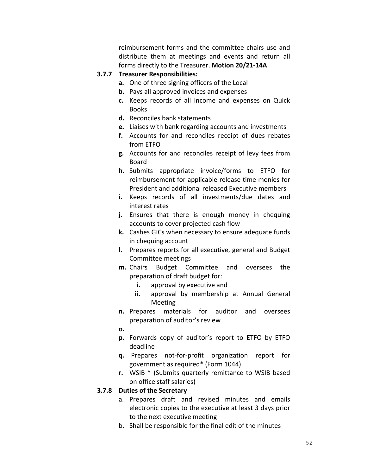reimbursement forms and the committee chairs use and distribute them at meetings and events and return all forms directly to the Treasurer. **Motion 20/21-14A**

#### **3.7.7 Treasurer Responsibilities:**

- **a.** One of three signing officers of the Local
- **b.** Pays all approved invoices and expenses
- **c.** Keeps records of all income and expenses on Quick Books
- **d.** Reconciles bank statements
- **e.** Liaises with bank regarding accounts and investments
- **f.** Accounts for and reconciles receipt of dues rebates from ETFO
- **g.** Accounts for and reconciles receipt of levy fees from Board
- **h.** Submits appropriate invoice/forms to ETFO for reimbursement for applicable release time monies for President and additional released Executive members
- **i.** Keeps records of all investments/due dates and interest rates
- **j.** Ensures that there is enough money in chequing accounts to cover projected cash flow
- **k.** Cashes GICs when necessary to ensure adequate funds in chequing account
- **l.** Prepares reports for all executive, general and Budget Committee meetings
- **m.** Chairs Budget Committee and oversees the preparation of draft budget for:
	- **i.** approval by executive and
	- **ii.** approval by membership at Annual General Meeting
- **n.** Prepares materials for auditor and oversees preparation of auditor's review
- **o.**
- **p.** Forwards copy of auditor's report to ETFO by ETFO deadline
- **q.** Prepares not-for-profit organization report for government as required\* (Form 1044)
- **r.** WSIB \* (Submits quarterly remittance to WSIB based on office staff salaries)

## **3.7.8 Duties of the Secretary**

- a. Prepares draft and revised minutes and emails electronic copies to the executive at least 3 days prior to the next executive meeting
- b. Shall be responsible for the final edit of the minutes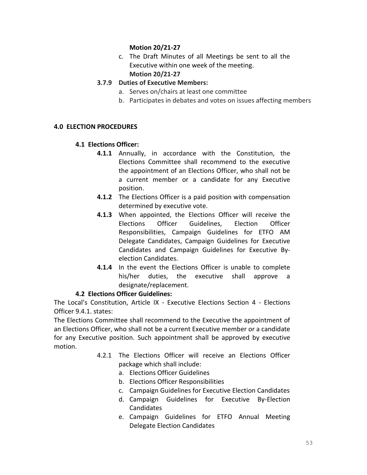# **Motion 20/21-27**

c. The Draft Minutes of all Meetings be sent to all the Executive within one week of the meeting. **Motion 20/21-27**

# **3.7.9 Duties of Executive Members:**

- a. Serves on/chairs at least one committee
- b. Participates in debates and votes on issues affecting members

# **4.0 ELECTION PROCEDURES**

# **4.1 Elections Officer:**

- **4.1.1** Annually, in accordance with the Constitution, the Elections Committee shall recommend to the executive the appointment of an Elections Officer, who shall not be a current member or a candidate for any Executive position.
- **4.1.2** The Elections Officer is a paid position with compensation determined by executive vote.
- **4.1.3** When appointed, the Elections Officer will receive the Elections Officer Guidelines, Election Officer Responsibilities, Campaign Guidelines for ETFO AM Delegate Candidates, Campaign Guidelines for Executive Candidates and Campaign Guidelines for Executive Byelection Candidates.
- **4.1.4** In the event the Elections Officer is unable to complete his/her duties, the executive shall approve a designate/replacement.

# **4.2 Elections Officer Guidelines:**

The Local's Constitution, Article IX - Executive Elections Section 4 - Elections Officer 9.4.1. states:

The Elections Committee shall recommend to the Executive the appointment of an Elections Officer, who shall not be a current Executive member or a candidate for any Executive position. Such appointment shall be approved by executive motion.

- 4.2.1 The Elections Officer will receive an Elections Officer package which shall include:
	- a. Elections Officer Guidelines
	- b. Elections Officer Responsibilities
	- c. Campaign Guidelines for Executive Election Candidates
	- d. Campaign Guidelines for Executive By-Election Candidates
	- e. Campaign Guidelines for ETFO Annual Meeting Delegate Election Candidates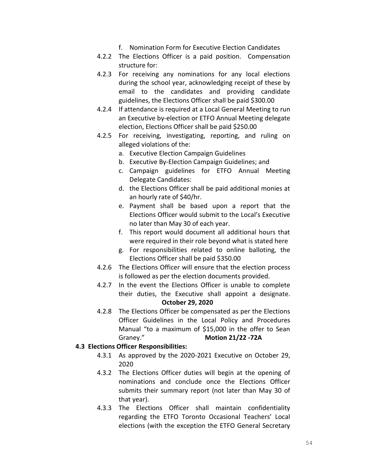- f. Nomination Form for Executive Election Candidates
- 4.2.2 The Elections Officer is a paid position. Compensation structure for:
- 4.2.3 For receiving any nominations for any local elections during the school year, acknowledging receipt of these by email to the candidates and providing candidate guidelines, the Elections Officer shall be paid \$300.00
- 4.2.4 If attendance is required at a Local General Meeting to run an Executive by-election or ETFO Annual Meeting delegate election, Elections Officer shall be paid \$250.00
- 4.2.5 For receiving, investigating, reporting, and ruling on alleged violations of the:
	- a. Executive Election Campaign Guidelines
	- b. Executive By-Election Campaign Guidelines; and
	- c. Campaign guidelines for ETFO Annual Meeting Delegate Candidates:
	- d. the Elections Officer shall be paid additional monies at an hourly rate of \$40/hr.
	- e. Payment shall be based upon a report that the Elections Officer would submit to the Local's Executive no later than May 30 of each year.
	- f. This report would document all additional hours that were required in their role beyond what is stated here
	- g. For responsibilities related to online balloting, the Elections Officer shall be paid \$350.00
- 4.2.6 The Elections Officer will ensure that the election process is followed as per the election documents provided.
- 4.2.7 In the event the Elections Officer is unable to complete their duties, the Executive shall appoint a designate. **October 29, 2020**
- 4.2.8 The Elections Officer be compensated as per the Elections Officer Guidelines in the Local Policy and Procedures Manual "to a maximum of \$15,000 in the offer to Sean Graney." **Motion 21/22 -72A**

## **4.3 Elections Officer Responsibilities:**

- 4.3.1 As approved by the 2020-2021 Executive on October 29, 2020
- 4.3.2 The Elections Officer duties will begin at the opening of nominations and conclude once the Elections Officer submits their summary report (not later than May 30 of that year).
- 4.3.3 The Elections Officer shall maintain confidentiality regarding the ETFO Toronto Occasional Teachers' Local elections (with the exception the ETFO General Secretary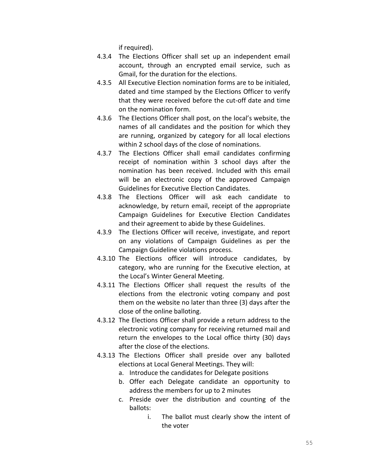if required).

- 4.3.4 The Elections Officer shall set up an independent email account, through an encrypted email service, such as Gmail, for the duration for the elections.
- 4.3.5 All Executive Election nomination forms are to be initialed, dated and time stamped by the Elections Officer to verify that they were received before the cut-off date and time on the nomination form.
- 4.3.6 The Elections Officer shall post, on the local's website, the names of all candidates and the position for which they are running, organized by category for all local elections within 2 school days of the close of nominations.
- 4.3.7 The Elections Officer shall email candidates confirming receipt of nomination within 3 school days after the nomination has been received. Included with this email will be an electronic copy of the approved Campaign Guidelines for Executive Election Candidates.
- 4.3.8 The Elections Officer will ask each candidate to acknowledge, by return email, receipt of the appropriate Campaign Guidelines for Executive Election Candidates and their agreement to abide by these Guidelines.
- 4.3.9 The Elections Officer will receive, investigate, and report on any violations of Campaign Guidelines as per the Campaign Guideline violations process.
- 4.3.10 The Elections officer will introduce candidates, by category, who are running for the Executive election, at the Local's Winter General Meeting.
- 4.3.11 The Elections Officer shall request the results of the elections from the electronic voting company and post them on the website no later than three (3) days after the close of the online balloting.
- 4.3.12 The Elections Officer shall provide a return address to the electronic voting company for receiving returned mail and return the envelopes to the Local office thirty (30) days after the close of the elections.
- 4.3.13 The Elections Officer shall preside over any balloted elections at Local General Meetings. They will:
	- a. Introduce the candidates for Delegate positions
	- b. Offer each Delegate candidate an opportunity to address the members for up to 2 minutes
	- c. Preside over the distribution and counting of the ballots:
		- i. The ballot must clearly show the intent of the voter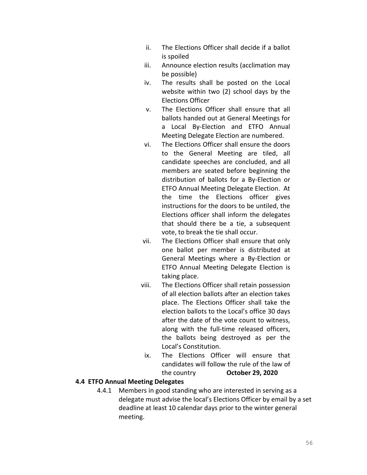- ii. The Elections Officer shall decide if a ballot is spoiled
- iii. Announce election results (acclimation may be possible)
- iv. The results shall be posted on the Local website within two (2) school days by the Elections Officer
- v. The Elections Officer shall ensure that all ballots handed out at General Meetings for a Local By-Election and ETFO Annual Meeting Delegate Election are numbered.
- vi. The Elections Officer shall ensure the doors to the General Meeting are tiled, all candidate speeches are concluded, and all members are seated before beginning the distribution of ballots for a By-Election or ETFO Annual Meeting Delegate Election. At the time the Elections officer gives instructions for the doors to be untiled, the Elections officer shall inform the delegates that should there be a tie, a subsequent vote, to break the tie shall occur.
- vii. The Elections Officer shall ensure that only one ballot per member is distributed at General Meetings where a By-Election or ETFO Annual Meeting Delegate Election is taking place.
- viii. The Elections Officer shall retain possession of all election ballots after an election takes place. The Elections Officer shall take the election ballots to the Local's office 30 days after the date of the vote count to witness, along with the full-time released officers, the ballots being destroyed as per the Local's Constitution.
- ix. The Elections Officer will ensure that candidates will follow the rule of the law of the country **October 29, 2020**

## **4.4 ETFO Annual Meeting Delegates**

4.4.1 Members in good standing who are interested in serving as a delegate must advise the local's Elections Officer by email by a set deadline at least 10 calendar days prior to the winter general meeting.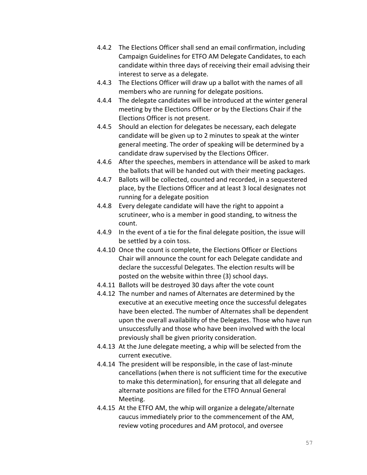- 4.4.2 The Elections Officer shall send an email confirmation, including Campaign Guidelines for ETFO AM Delegate Candidates, to each candidate within three days of receiving their email advising their interest to serve as a delegate.
- 4.4.3 The Elections Officer will draw up a ballot with the names of all members who are running for delegate positions.
- 4.4.4 The delegate candidates will be introduced at the winter general meeting by the Elections Officer or by the Elections Chair if the Elections Officer is not present.
- 4.4.5 Should an election for delegates be necessary, each delegate candidate will be given up to 2 minutes to speak at the winter general meeting. The order of speaking will be determined by a candidate draw supervised by the Elections Officer.
- 4.4.6 After the speeches, members in attendance will be asked to mark the ballots that will be handed out with their meeting packages.
- 4.4.7 Ballots will be collected, counted and recorded, in a sequestered place, by the Elections Officer and at least 3 local designates not running for a delegate position
- 4.4.8 Every delegate candidate will have the right to appoint a scrutineer, who is a member in good standing, to witness the count.
- 4.4.9 In the event of a tie for the final delegate position, the issue will be settled by a coin toss.
- 4.4.10 Once the count is complete, the Elections Officer or Elections Chair will announce the count for each Delegate candidate and declare the successful Delegates. The election results will be posted on the website within three (3) school days.
- 4.4.11 Ballots will be destroyed 30 days after the vote count
- 4.4.12 The number and names of Alternates are determined by the executive at an executive meeting once the successful delegates have been elected. The number of Alternates shall be dependent upon the overall availability of the Delegates. Those who have run unsuccessfully and those who have been involved with the local previously shall be given priority consideration.
- 4.4.13 At the June delegate meeting, a whip will be selected from the current executive.
- 4.4.14 The president will be responsible, in the case of last-minute cancellations (when there is not sufficient time for the executive to make this determination), for ensuring that all delegate and alternate positions are filled for the ETFO Annual General Meeting.
- 4.4.15 At the ETFO AM, the whip will organize a delegate/alternate caucus immediately prior to the commencement of the AM, review voting procedures and AM protocol, and oversee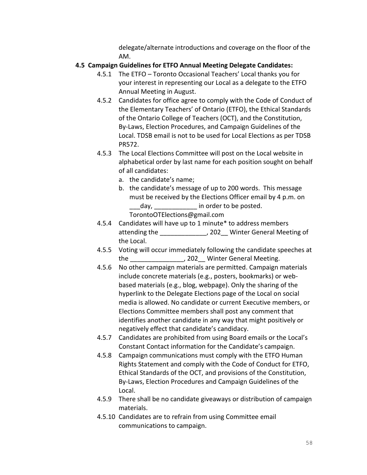delegate/alternate introductions and coverage on the floor of the AM.

# **4.5 Campaign Guidelines for ETFO Annual Meeting Delegate Candidates:**

- 4.5.1 The ETFO Toronto Occasional Teachers' Local thanks you for your interest in representing our Local as a delegate to the ETFO Annual Meeting in August.
- 4.5.2 Candidates for office agree to comply with the Code of Conduct of the Elementary Teachers' of Ontario (ETFO), the Ethical Standards of the Ontario College of Teachers (OCT), and the Constitution, By-Laws, Election Procedures, and Campaign Guidelines of the Local. TDSB email is not to be used for Local Elections as per TDSB PR572.
- 4.5.3 The Local Elections Committee will post on the Local website in alphabetical order by last name for each position sought on behalf of all candidates:
	- a. the candidate's name;
	- b. the candidate's message of up to 200 words. This message must be received by the Elections Officer email by 4 p.m. on day, day, the order to be posted. TorontoOTElections@gmail.com
- 4.5.4 Candidates will have up to 1 minute\* to address members attending the \_\_\_\_\_\_\_\_\_\_\_\_\_, 202\_\_ Winter General Meeting of the Local.
- 4.5.5 Voting will occur immediately following the candidate speeches at the  $1$ , 202 Winter General Meeting.
- 4.5.6 No other campaign materials are permitted. Campaign materials include concrete materials (e.g., posters, bookmarks) or webbased materials (e.g., blog, webpage). Only the sharing of the hyperlink to the Delegate Elections page of the Local on social media is allowed. No candidate or current Executive members, or Elections Committee members shall post any comment that identifies another candidate in any way that might positively or negatively effect that candidate's candidacy.
- 4.5.7 Candidates are prohibited from using Board emails or the Local's Constant Contact information for the Candidate's campaign.
- 4.5.8 Campaign communications must comply with the ETFO Human Rights Statement and comply with the Code of Conduct for ETFO, Ethical Standards of the OCT, and provisions of the Constitution, By-Laws, Election Procedures and Campaign Guidelines of the Local.
- 4.5.9 There shall be no candidate giveaways or distribution of campaign materials.
- 4.5.10 Candidates are to refrain from using Committee email communications to campaign.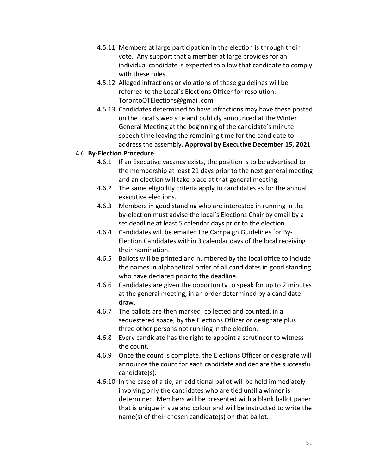- 4.5.11 Members at large participation in the election is through their vote. Any support that a member at large provides for an individual candidate is expected to allow that candidate to comply with these rules.
- 4.5.12 Alleged infractions or violations of these guidelines will be referred to the Local's Elections Officer for resolution: TorontoOTElections@gmail.com
- 4.5.13 Candidates determined to have infractions may have these posted on the Local's web site and publicly announced at the Winter General Meeting at the beginning of the candidate's minute speech time leaving the remaining time for the candidate to address the assembly. **Approval by Executive December 15, 2021**

## 4.6 **By-Election Procedure**

- 4.6.1 If an Executive vacancy exists, the position is to be advertised to the membership at least 21 days prior to the next general meeting and an election will take place at that general meeting.
- 4.6.2 The same eligibility criteria apply to candidates as for the annual executive elections.
- 4.6.3 Members in good standing who are interested in running in the by-election must advise the local's Elections Chair by email by a set deadline at least 5 calendar days prior to the election.
- 4.6.4 Candidates will be emailed the Campaign Guidelines for By-Election Candidates within 3 calendar days of the local receiving their nomination.
- 4.6.5 Ballots will be printed and numbered by the local office to include the names in alphabetical order of all candidates in good standing who have declared prior to the deadline.
- 4.6.6 Candidates are given the opportunity to speak for up to 2 minutes at the general meeting, in an order determined by a candidate draw.
- 4.6.7 The ballots are then marked, collected and counted, in a sequestered space, by the Elections Officer or designate plus three other persons not running in the election.
- 4.6.8 Every candidate has the right to appoint a scrutineer to witness the count.
- 4.6.9 Once the count is complete, the Elections Officer or designate will announce the count for each candidate and declare the successful candidate(s).
- 4.6.10 In the case of a tie, an additional ballot will be held immediately involving only the candidates who are tied until a winner is determined. Members will be presented with a blank ballot paper that is unique in size and colour and will be instructed to write the name(s) of their chosen candidate(s) on that ballot.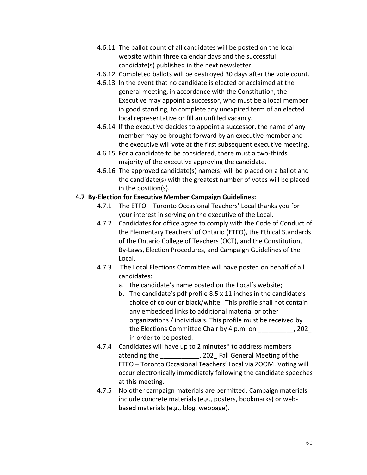- 4.6.11 The ballot count of all candidates will be posted on the local website within three calendar days and the successful candidate(s) published in the next newsletter.
- 4.6.12 Completed ballots will be destroyed 30 days after the vote count.
- 4.6.13 In the event that no candidate is elected or acclaimed at the general meeting, in accordance with the Constitution, the Executive may appoint a successor, who must be a local member in good standing, to complete any unexpired term of an elected local representative or fill an unfilled vacancy.
- 4.6.14 If the executive decides to appoint a successor, the name of any member may be brought forward by an executive member and the executive will vote at the first subsequent executive meeting.
- 4.6.15 For a candidate to be considered, there must a two-thirds majority of the executive approving the candidate.
- 4.6.16 The approved candidate(s) name(s) will be placed on a ballot and the candidate(s) with the greatest number of votes will be placed in the position(s).

## **4.7 By-Election for Executive Member Campaign Guidelines:**

- 4.7.1 The ETFO Toronto Occasional Teachers' Local thanks you for your interest in serving on the executive of the Local.
- 4.7.2 Candidates for office agree to comply with the Code of Conduct of the Elementary Teachers' of Ontario (ETFO), the Ethical Standards of the Ontario College of Teachers (OCT), and the Constitution, By-Laws, Election Procedures, and Campaign Guidelines of the Local.
- 4.7.3 The Local Elections Committee will have posted on behalf of all candidates:
	- a. the candidate's name posted on the Local's website;
	- b. The candidate's pdf profile 8.5 x 11 inches in the candidate's choice of colour or black/white. This profile shall not contain any embedded links to additional material or other organizations / individuals. This profile must be received by the Elections Committee Chair by 4 p.m. on \_\_\_\_\_\_\_\_\_\_, 202\_ in order to be posted.
- 4.7.4 Candidates will have up to 2 minutes\* to address members attending the \_\_\_\_\_\_\_\_\_, 202\_Fall General Meeting of the ETFO – Toronto Occasional Teachers' Local via ZOOM. Voting will occur electronically immediately following the candidate speeches at this meeting.
- 4.7.5 No other campaign materials are permitted. Campaign materials include concrete materials (e.g., posters, bookmarks) or webbased materials (e.g., blog, webpage).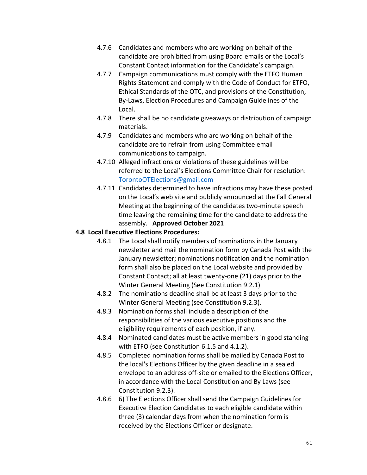- 4.7.6 Candidates and members who are working on behalf of the candidate are prohibited from using Board emails or the Local's Constant Contact information for the Candidate's campaign.
- 4.7.7 Campaign communications must comply with the ETFO Human Rights Statement and comply with the Code of Conduct for ETFO, Ethical Standards of the OTC, and provisions of the Constitution, By-Laws, Election Procedures and Campaign Guidelines of the Local.
- 4.7.8 There shall be no candidate giveaways or distribution of campaign materials.
- 4.7.9 Candidates and members who are working on behalf of the candidate are to refrain from using Committee email communications to campaign.
- 4.7.10 Alleged infractions or violations of these guidelines will be referred to the Local's Elections Committee Chair for resolution: [TorontoOTElections@gmail.com](mailto:TorontoOTElections@gmail.com)
- 4.7.11 Candidates determined to have infractions may have these posted on the Local's web site and publicly announced at the Fall General Meeting at the beginning of the candidates two-minute speech time leaving the remaining time for the candidate to address the assembly. **Approved October 2021**

# **4.8 Local Executive Elections Procedures:**

- 4.8.1 The Local shall notify members of nominations in the January newsletter and mail the nomination form by Canada Post with the January newsletter; nominations notification and the nomination form shall also be placed on the Local website and provided by Constant Contact; all at least twenty-one (21) days prior to the Winter General Meeting (See Constitution 9.2.1)
- 4.8.2 The nominations deadline shall be at least 3 days prior to the Winter General Meeting (see Constitution 9.2.3).
- 4.8.3 Nomination forms shall include a description of the responsibilities of the various executive positions and the eligibility requirements of each position, if any.
- 4.8.4 Nominated candidates must be active members in good standing with ETFO (see Constitution 6.1.5 and 4.1.2).
- 4.8.5 Completed nomination forms shall be mailed by Canada Post to the local's Elections Officer by the given deadline in a sealed envelope to an address off-site or emailed to the Elections Officer, in accordance with the Local Constitution and By Laws (see Constitution 9.2.3).
- 4.8.6 6) The Elections Officer shall send the Campaign Guidelines for Executive Election Candidates to each eligible candidate within three (3) calendar days from when the nomination form is received by the Elections Officer or designate.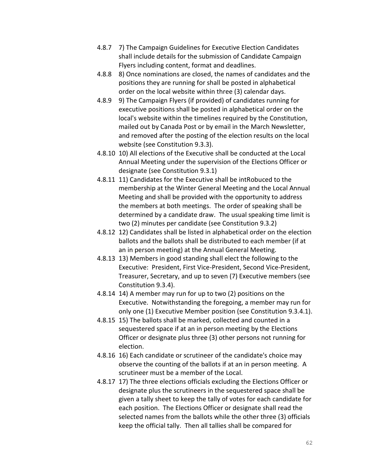- 4.8.7 7) The Campaign Guidelines for Executive Election Candidates shall include details for the submission of Candidate Campaign Flyers including content, format and deadlines.
- 4.8.8 8) Once nominations are closed, the names of candidates and the positions they are running for shall be posted in alphabetical order on the local website within three (3) calendar days.
- 4.8.9 9) The Campaign Flyers (if provided) of candidates running for executive positions shall be posted in alphabetical order on the local's website within the timelines required by the Constitution, mailed out by Canada Post or by email in the March Newsletter, and removed after the posting of the election results on the local website (see Constitution 9.3.3).
- 4.8.10 10) All elections of the Executive shall be conducted at the Local Annual Meeting under the supervision of the Elections Officer or designate (see Constitution 9.3.1)
- 4.8.11 11) Candidates for the Executive shall be intRobuced to the membership at the Winter General Meeting and the Local Annual Meeting and shall be provided with the opportunity to address the members at both meetings. The order of speaking shall be determined by a candidate draw. The usual speaking time limit is two (2) minutes per candidate (see Constitution 9.3.2)
- 4.8.12 12) Candidates shall be listed in alphabetical order on the election ballots and the ballots shall be distributed to each member (if at an in person meeting) at the Annual General Meeting.
- 4.8.13 13) Members in good standing shall elect the following to the Executive: President, First Vice-President, Second Vice-President, Treasurer, Secretary, and up to seven (7) Executive members (see Constitution 9.3.4).
- 4.8.14 14) A member may run for up to two (2) positions on the Executive. Notwithstanding the foregoing, a member may run for only one (1) Executive Member position (see Constitution 9.3.4.1).
- 4.8.15 15) The ballots shall be marked, collected and counted in a sequestered space if at an in person meeting by the Elections Officer or designate plus three (3) other persons not running for election.
- 4.8.16 16) Each candidate or scrutineer of the candidate's choice may observe the counting of the ballots if at an in person meeting. A scrutineer must be a member of the Local.
- 4.8.17 17) The three elections officials excluding the Elections Officer or designate plus the scrutineers in the sequestered space shall be given a tally sheet to keep the tally of votes for each candidate for each position. The Elections Officer or designate shall read the selected names from the ballots while the other three (3) officials keep the official tally. Then all tallies shall be compared for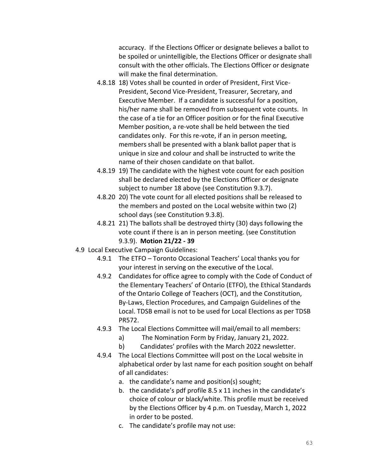accuracy. If the Elections Officer or designate believes a ballot to be spoiled or unintelligible, the Elections Officer or designate shall consult with the other officials. The Elections Officer or designate will make the final determination.

- 4.8.18 18) Votes shall be counted in order of President, First Vice-President, Second Vice-President, Treasurer, Secretary, and Executive Member. If a candidate is successful for a position, his/her name shall be removed from subsequent vote counts. In the case of a tie for an Officer position or for the final Executive Member position, a re-vote shall be held between the tied candidates only. For this re-vote, if an in person meeting, members shall be presented with a blank ballot paper that is unique in size and colour and shall be instructed to write the name of their chosen candidate on that ballot.
- 4.8.19 19) The candidate with the highest vote count for each position shall be declared elected by the Elections Officer or designate subject to number 18 above (see Constitution 9.3.7).
- 4.8.20 20) The vote count for all elected positions shall be released to the members and posted on the Local website within two (2) school days (see Constitution 9.3.8).
- 4.8.21 21) The ballots shall be destroyed thirty (30) days following the vote count if there is an in person meeting. (see Constitution 9.3.9). **Motion 21/22 - 39**
- 4.9 Local Executive Campaign Guidelines:
	- 4.9.1 The ETFO Toronto Occasional Teachers' Local thanks you for your interest in serving on the executive of the Local.
	- 4.9.2 Candidates for office agree to comply with the Code of Conduct of the Elementary Teachers' of Ontario (ETFO), the Ethical Standards of the Ontario College of Teachers (OCT), and the Constitution, By-Laws, Election Procedures, and Campaign Guidelines of the Local. TDSB email is not to be used for Local Elections as per TDSB PR572.
	- 4.9.3 The Local Elections Committee will mail/email to all members:
		- a) The Nomination Form by Friday, January 21, 2022.
		- b) Candidates' profiles with the March 2022 newsletter.
	- 4.9.4 The Local Elections Committee will post on the Local website in alphabetical order by last name for each position sought on behalf of all candidates:
		- a. the candidate's name and position(s) sought;
		- b. the candidate's pdf profile 8.5 x 11 inches in the candidate's choice of colour or black/white. This profile must be received by the Elections Officer by 4 p.m. on Tuesday, March 1, 2022 in order to be posted.
		- c. The candidate's profile may not use: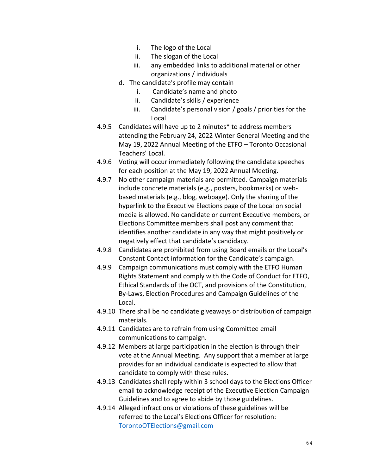- i. The logo of the Local
- ii. The slogan of the Local
- iii. any embedded links to additional material or other organizations / individuals
- d. The candidate's profile may contain
	- i. Candidate's name and photo
	- ii. Candidate's skills / experience
	- iii. Candidate's personal vision / goals / priorities for the Local
- 4.9.5 Candidates will have up to 2 minutes\* to address members attending the February 24, 2022 Winter General Meeting and the May 19, 2022 Annual Meeting of the ETFO – Toronto Occasional Teachers' Local.
- 4.9.6 Voting will occur immediately following the candidate speeches for each position at the May 19, 2022 Annual Meeting.
- 4.9.7 No other campaign materials are permitted. Campaign materials include concrete materials (e.g., posters, bookmarks) or webbased materials (e.g., blog, webpage). Only the sharing of the hyperlink to the Executive Elections page of the Local on social media is allowed. No candidate or current Executive members, or Elections Committee members shall post any comment that identifies another candidate in any way that might positively or negatively effect that candidate's candidacy.
- 4.9.8 Candidates are prohibited from using Board emails or the Local's Constant Contact information for the Candidate's campaign.
- 4.9.9 Campaign communications must comply with the ETFO Human Rights Statement and comply with the Code of Conduct for ETFO, Ethical Standards of the OCT, and provisions of the Constitution, By-Laws, Election Procedures and Campaign Guidelines of the Local.
- 4.9.10 There shall be no candidate giveaways or distribution of campaign materials.
- 4.9.11 Candidates are to refrain from using Committee email communications to campaign.
- 4.9.12 Members at large participation in the election is through their vote at the Annual Meeting. Any support that a member at large provides for an individual candidate is expected to allow that candidate to comply with these rules.
- 4.9.13 Candidates shall reply within 3 school days to the Elections Officer email to acknowledge receipt of the Executive Election Campaign Guidelines and to agree to abide by those guidelines.
- 4.9.14 Alleged infractions or violations of these guidelines will be referred to the Local's Elections Officer for resolution: [TorontoOTElections@gmail.com](mailto:TorontoOTElections@gmail.com)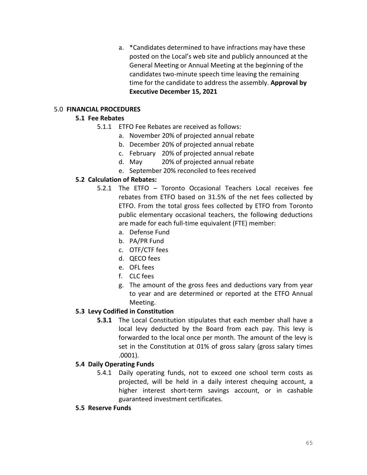a. \*Candidates determined to have infractions may have these posted on the Local's web site and publicly announced at the General Meeting or Annual Meeting at the beginning of the candidates two-minute speech time leaving the remaining time for the candidate to address the assembly. **Approval by Executive December 15, 2021**

## 5.0 **FINANCIAL PROCEDURES**

# **5.1 Fee Rebates**

- 5.1.1 ETFO Fee Rebates are received as follows:
	- a. November 20% of projected annual rebate
	- b. December 20% of projected annual rebate
	- c. February 20% of projected annual rebate
	- d. May 20% of projected annual rebate
	- e. September 20% reconciled to fees received

# **5.2 Calculation of Rebates:**

- 5.2.1 The ETFO Toronto Occasional Teachers Local receives fee rebates from ETFO based on 31.5% of the net fees collected by ETFO. From the total gross fees collected by ETFO from Toronto public elementary occasional teachers, the following deductions are made for each full-time equivalent (FTE) member:
	- a. Defense Fund
	- b. PA/PR Fund
	- c. OTF/CTF fees
	- d. QECO fees
	- e. OFL fees
	- f. CLC fees
	- g. The amount of the gross fees and deductions vary from year to year and are determined or reported at the ETFO Annual Meeting.

# **5.3 Levy Codified in Constitution**

**5.3.1** The Local Constitution stipulates that each member shall have a local levy deducted by the Board from each pay. This levy is forwarded to the local once per month. The amount of the levy is set in the Constitution at 01% of gross salary (gross salary times .0001).

## **5.4 Daily Operating Funds**

- 5.4.1 Daily operating funds, not to exceed one school term costs as projected, will be held in a daily interest chequing account, a higher interest short-term savings account, or in cashable guaranteed investment certificates.
- **5.5 Reserve Funds**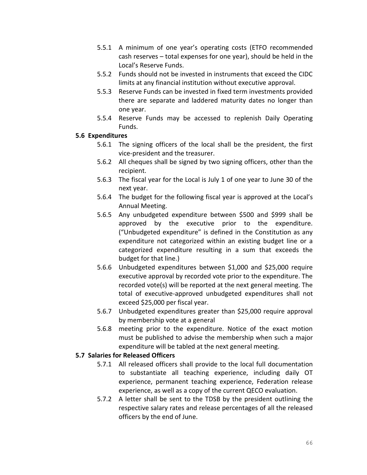- 5.5.1 A minimum of one year's operating costs (ETFO recommended cash reserves – total expenses for one year), should be held in the Local's Reserve Funds.
- 5.5.2 Funds should not be invested in instruments that exceed the CIDC limits at any financial institution without executive approval.
- 5.5.3 Reserve Funds can be invested in fixed term investments provided there are separate and laddered maturity dates no longer than one year.
- 5.5.4 Reserve Funds may be accessed to replenish Daily Operating Funds.

#### **5.6 Expenditures**

- 5.6.1 The signing officers of the local shall be the president, the first vice-president and the treasurer.
- 5.6.2 All cheques shall be signed by two signing officers, other than the recipient.
- 5.6.3 The fiscal year for the Local is July 1 of one year to June 30 of the next year.
- 5.6.4 The budget for the following fiscal year is approved at the Local's Annual Meeting.
- 5.6.5 Any unbudgeted expenditure between \$500 and \$999 shall be approved by the executive prior to the expenditure. ("Unbudgeted expenditure" is defined in the Constitution as any expenditure not categorized within an existing budget line or a categorized expenditure resulting in a sum that exceeds the budget for that line.)
- 5.6.6 Unbudgeted expenditures between \$1,000 and \$25,000 require executive approval by recorded vote prior to the expenditure. The recorded vote(s) will be reported at the next general meeting. The total of executive-approved unbudgeted expenditures shall not exceed \$25,000 per fiscal year.
- 5.6.7 Unbudgeted expenditures greater than \$25,000 require approval by membership vote at a general
- 5.6.8 meeting prior to the expenditure. Notice of the exact motion must be published to advise the membership when such a major expenditure will be tabled at the next general meeting.

## **5.7 Salaries for Released Officers**

- 5.7.1 All released officers shall provide to the local full documentation to substantiate all teaching experience, including daily OT experience, permanent teaching experience, Federation release experience, as well as a copy of the current QECO evaluation.
- 5.7.2 A letter shall be sent to the TDSB by the president outlining the respective salary rates and release percentages of all the released officers by the end of June.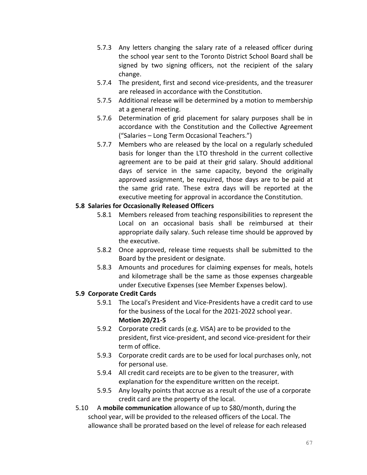- 5.7.3 Any letters changing the salary rate of a released officer during the school year sent to the Toronto District School Board shall be signed by two signing officers, not the recipient of the salary change.
- 5.7.4 The president, first and second vice-presidents, and the treasurer are released in accordance with the Constitution.
- 5.7.5 Additional release will be determined by a motion to membership at a general meeting.
- 5.7.6 Determination of grid placement for salary purposes shall be in accordance with the Constitution and the Collective Agreement ("Salaries – Long Term Occasional Teachers.")
- 5.7.7 Members who are released by the local on a regularly scheduled basis for longer than the LTO threshold in the current collective agreement are to be paid at their grid salary. Should additional days of service in the same capacity, beyond the originally approved assignment, be required, those days are to be paid at the same grid rate. These extra days will be reported at the executive meeting for approval in accordance the Constitution.

## **5.8 Salaries for Occasionally Released Officers**

- 5.8.1 Members released from teaching responsibilities to represent the Local on an occasional basis shall be reimbursed at their appropriate daily salary. Such release time should be approved by the executive.
- 5.8.2 Once approved, release time requests shall be submitted to the Board by the president or designate.
- 5.8.3 Amounts and procedures for claiming expenses for meals, hotels and kilometrage shall be the same as those expenses chargeable under Executive Expenses (see Member Expenses below).

## **5.9 Corporate Credit Cards**

- 5.9.1 The Local's President and Vice-Presidents have a credit card to use for the business of the Local for the 2021-2022 school year. **Motion 20/21-5**
- 5.9.2 Corporate credit cards (e.g. VISA) are to be provided to the president, first vice-president, and second vice-president for their term of office.
- 5.9.3 Corporate credit cards are to be used for local purchases only, not for personal use.
- 5.9.4 All credit card receipts are to be given to the treasurer, with explanation for the expenditure written on the receipt.
- 5.9.5 Any loyalty points that accrue as a result of the use of a corporate credit card are the property of the local.
- 5.10 A **mobile communication** allowance of up to \$80/month, during the school year, will be provided to the released officers of the Local. The allowance shall be prorated based on the level of release for each released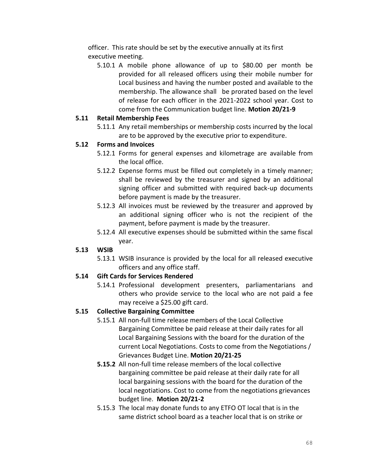officer. This rate should be set by the executive annually at its first executive meeting.

5.10.1 A mobile phone allowance of up to \$80.00 per month be provided for all released officers using their mobile number for Local business and having the number posted and available to the membership. The allowance shall be prorated based on the level of release for each officer in the 2021-2022 school year. Cost to come from the Communication budget line. **Motion 20/21-9**

## **5.11 Retail Membership Fees**

5.11.1 Any retail memberships or membership costs incurred by the local are to be approved by the executive prior to expenditure.

## **5.12 Forms and Invoices**

- 5.12.1 Forms for general expenses and kilometrage are available from the local office.
- 5.12.2 Expense forms must be filled out completely in a timely manner; shall be reviewed by the treasurer and signed by an additional signing officer and submitted with required back-up documents before payment is made by the treasurer.
- 5.12.3 All invoices must be reviewed by the treasurer and approved by an additional signing officer who is not the recipient of the payment, before payment is made by the treasurer.
- 5.12.4 All executive expenses should be submitted within the same fiscal year.

# **5.13 WSIB**

5.13.1 WSIB insurance is provided by the local for all released executive officers and any office staff.

# **5.14 Gift Cards for Services Rendered**

5.14.1 Professional development presenters, parliamentarians and others who provide service to the local who are not paid a fee may receive a \$25.00 gift card.

# **5.15 Collective Bargaining Committee**

- 5.15.1 All non-full time release members of the Local Collective Bargaining Committee be paid release at their daily rates for all Local Bargaining Sessions with the board for the duration of the current Local Negotiations. Costs to come from the Negotiations / Grievances Budget Line. **Motion 20/21-25**
- **5.15.2** All non-full time release members of the local collective bargaining committee be paid release at their daily rate for all local bargaining sessions with the board for the duration of the local negotiations. Cost to come from the negotiations grievances budget line. **Motion 20/21-2**
- 5.15.3 The local may donate funds to any ETFO OT local that is in the same district school board as a teacher local that is on strike or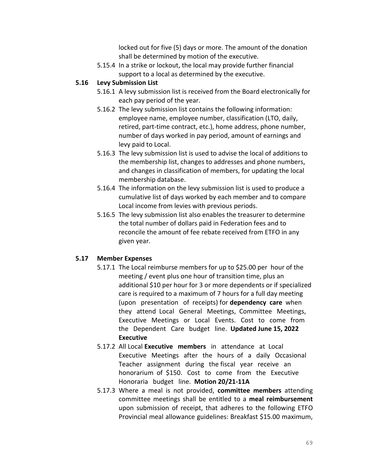locked out for five (5) days or more. The amount of the donation shall be determined by motion of the executive.

5.15.4 In a strike or lockout, the local may provide further financial support to a local as determined by the executive.

# **5.16 Levy Submission List**

- 5.16.1 A levy submission list is received from the Board electronically for each pay period of the year.
- 5.16.2 The levy submission list contains the following information: employee name, employee number, classification (LTO, daily, retired, part-time contract, etc.), home address, phone number, number of days worked in pay period, amount of earnings and levy paid to Local.
- 5.16.3 The levy submission list is used to advise the local of additions to the membership list, changes to addresses and phone numbers, and changes in classification of members, for updating the local membership database.
- 5.16.4 The information on the levy submission list is used to produce a cumulative list of days worked by each member and to compare Local income from levies with previous periods.
- 5.16.5 The levy submission list also enables the treasurer to determine the total number of dollars paid in Federation fees and to reconcile the amount of fee rebate received from ETFO in any given year.

# **5.17 Member Expenses**

- 5.17.1 The Local reimburse members for up to \$25.00 per hour of the meeting / event plus one hour of transition time, plus an additional \$10 per hour for 3 or more dependents or if specialized care is required to a maximum of 7 hours for a full day meeting (upon presentation of receipts) for **dependency care** when they attend Local General Meetings, Committee Meetings, Executive Meetings or Local Events. Cost to come from the Dependent Care budget line. **Updated June 15, 2022 Executive**
- 5.17.2 All Local **Executive members** in attendance at Local Executive Meetings after the hours of a daily Occasional Teacher assignment during the fiscal year receive an honorarium of \$150. Cost to come from the Executive Honoraria budget line. **Motion 20/21-11A**
- 5.17.3 Where a meal is not provided, **committee members** attending committee meetings shall be entitled to a **meal reimbursement** upon submission of receipt, that adheres to the following ETFO Provincial meal allowance guidelines: Breakfast \$15.00 maximum,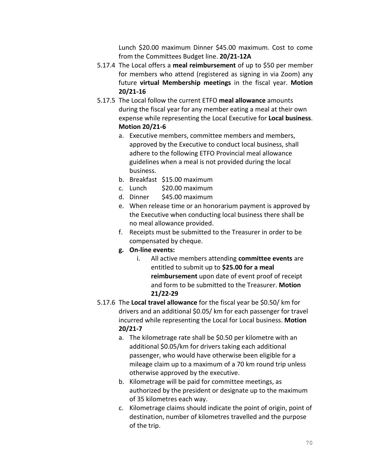Lunch \$20.00 maximum Dinner \$45.00 maximum. Cost to come from the Committees Budget line. **20/21-12A**

- 5.17.4 The Local offers a **meal reimbursement** of up to \$50 per member for members who attend (registered as signing in via Zoom) any future **virtual Membership meetings** in the fiscal year. **Motion 20/21-16**
- 5.17.5 The Local follow the current ETFO **meal allowance** amounts during the fiscal year for any member eating a meal at their own expense while representing the Local Executive for **Local business**. **Motion 20/21-6**
	- a. Executive members, committee members and members, approved by the Executive to conduct local business, shall adhere to the following ETFO Provincial meal allowance guidelines when a meal is not provided during the local business.
	- b. Breakfast \$15.00 maximum
	- c. Lunch \$20.00 maximum
	- d. Dinner \$45.00 maximum
	- e. When release time or an honorarium payment is approved by the Executive when conducting local business there shall be no meal allowance provided.
	- f. Receipts must be submitted to the Treasurer in order to be compensated by cheque.
	- **g. On-line events:**
		- i. All active members attending **committee events** are entitled to submit up to **\$25.00 for a meal reimbursement** upon date of event proof of receipt and form to be submitted to the Treasurer. **Motion 21/22-29**
- 5.17.6 The **Local travel allowance** for the fiscal year be \$0.50/ km for drivers and an additional \$0.05/ km for each passenger for travel incurred while representing the Local for Local business. **Motion 20/21-7**
	- a. The kilometrage rate shall be \$0.50 per kilometre with an additional \$0.05/km for drivers taking each additional passenger, who would have otherwise been eligible for a mileage claim up to a maximum of a 70 km round trip unless otherwise approved by the executive.
	- b. Kilometrage will be paid for committee meetings, as authorized by the president or designate up to the maximum of 35 kilometres each way.
	- c. Kilometrage claims should indicate the point of origin, point of destination, number of kilometres travelled and the purpose of the trip.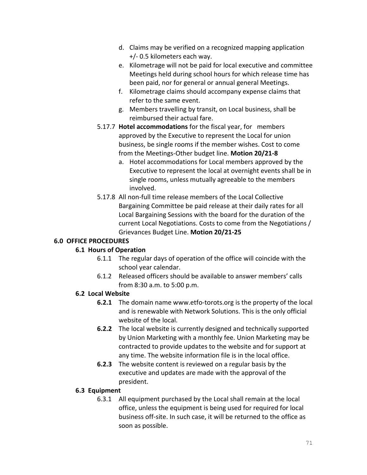- d. Claims may be verified on a recognized mapping application +/- 0.5 kilometers each way.
- e. Kilometrage will not be paid for local executive and committee Meetings held during school hours for which release time has been paid, nor for general or annual general Meetings.
- f. Kilometrage claims should accompany expense claims that refer to the same event.
- g. Members travelling by transit, on Local business, shall be reimbursed their actual fare.
- 5.17.7 **Hotel accommodations** for the fiscal year, for members approved by the Executive to represent the Local for union business, be single rooms if the member wishes. Cost to come from the Meetings-Other budget line. **Motion 20/21-8**
	- a. Hotel accommodations for Local members approved by the Executive to represent the local at overnight events shall be in single rooms, unless mutually agreeable to the members involved.
- 5.17.8 All non-full time release members of the Local Collective Bargaining Committee be paid release at their daily rates for all Local Bargaining Sessions with the board for the duration of the current Local Negotiations. Costs to come from the Negotiations / Grievances Budget Line. **Motion 20/21-25**

# **6.0 OFFICE PROCEDURES**

# **6.1 Hours of Operation**

- 6.1.1 The regular days of operation of the office will coincide with the school year calendar.
- 6.1.2 Released officers should be available to answer members' calls from 8:30 a.m. to 5:00 p.m.

# **6.2 Local Website**

- **6.2.1** The domain name www.etfo-torots.org is the property of the local and is renewable with Network Solutions. This is the only official website of the local.
- **6.2.2** The local website is currently designed and technically supported by Union Marketing with a monthly fee. Union Marketing may be contracted to provide updates to the website and for support at any time. The website information file is in the local office.
- **6.2.3** The website content is reviewed on a regular basis by the executive and updates are made with the approval of the president.

# **6.3 Equipment**

6.3.1 All equipment purchased by the Local shall remain at the local office, unless the equipment is being used for required for local business off-site. In such case, it will be returned to the office as soon as possible.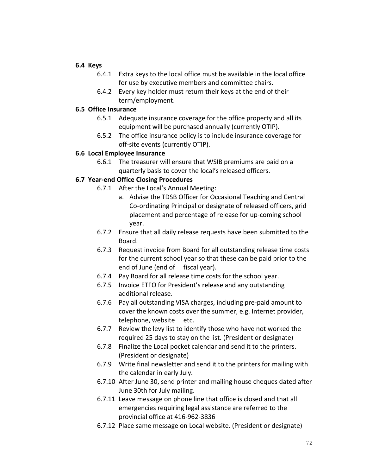#### **6.4 Keys**

- 6.4.1 Extra keys to the local office must be available in the local office for use by executive members and committee chairs.
- 6.4.2 Every key holder must return their keys at the end of their term/employment.

## **6.5 Office Insurance**

- 6.5.1 Adequate insurance coverage for the office property and all its equipment will be purchased annually (currently OTIP).
- 6.5.2 The office insurance policy is to include insurance coverage for off-site events (currently OTIP).

## **6.6 Local Employee Insurance**

6.6.1 The treasurer will ensure that WSIB premiums are paid on a quarterly basis to cover the local's released officers.

# **6.7 Year-end Office Closing Procedures**

- 6.7.1 After the Local's Annual Meeting:
	- a. Advise the TDSB Officer for Occasional Teaching and Central Co-ordinating Principal or designate of released officers, grid placement and percentage of release for up-coming school year.
- 6.7.2 Ensure that all daily release requests have been submitted to the Board.
- 6.7.3 Request invoice from Board for all outstanding release time costs for the current school year so that these can be paid prior to the end of June (end of fiscal year).
- 6.7.4 Pay Board for all release time costs for the school year.
- 6.7.5 Invoice ETFO for President's release and any outstanding additional release.
- 6.7.6 Pay all outstanding VISA charges, including pre-paid amount to cover the known costs over the summer, e.g. Internet provider, telephone, website etc.
- 6.7.7 Review the levy list to identify those who have not worked the required 25 days to stay on the list. (President or designate)
- 6.7.8 Finalize the Local pocket calendar and send it to the printers. (President or designate)
- 6.7.9 Write final newsletter and send it to the printers for mailing with the calendar in early July.
- 6.7.10 After June 30, send printer and mailing house cheques dated after June 30th for July mailing.
- 6.7.11 Leave message on phone line that office is closed and that all emergencies requiring legal assistance are referred to the provincial office at 416-962-3836
- 6.7.12 Place same message on Local website. (President or designate)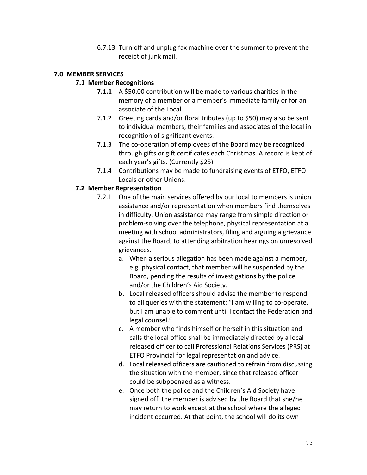6.7.13 Turn off and unplug fax machine over the summer to prevent the receipt of junk mail.

### **7.0 MEMBER SERVICES**

## **7.1 Member Recognitions**

- **7.1.1** A \$50.00 contribution will be made to various charities in the memory of a member or a member's immediate family or for an associate of the Local.
- 7.1.2 Greeting cards and/or floral tributes (up to \$50) may also be sent to individual members, their families and associates of the local in recognition of significant events.
- 7.1.3 The co-operation of employees of the Board may be recognized through gifts or gift certificates each Christmas. A record is kept of each year's gifts. (Currently \$25)
- 7.1.4 Contributions may be made to fundraising events of ETFO, ETFO Locals or other Unions.

## **7.2 Member Representation**

- 7.2.1 One of the main services offered by our local to members is union assistance and/or representation when members find themselves in difficulty. Union assistance may range from simple direction or problem-solving over the telephone, physical representation at a meeting with school administrators, filing and arguing a grievance against the Board, to attending arbitration hearings on unresolved grievances.
	- a. When a serious allegation has been made against a member, e.g. physical contact, that member will be suspended by the Board, pending the results of investigations by the police and/or the Children's Aid Society.
	- b. Local released officers should advise the member to respond to all queries with the statement: "I am willing to co-operate, but I am unable to comment until I contact the Federation and legal counsel."
	- c. A member who finds himself or herself in this situation and calls the local office shall be immediately directed by a local released officer to call Professional Relations Services (PRS) at ETFO Provincial for legal representation and advice.
	- d. Local released officers are cautioned to refrain from discussing the situation with the member, since that released officer could be subpoenaed as a witness.
	- e. Once both the police and the Children's Aid Society have signed off, the member is advised by the Board that she/he may return to work except at the school where the alleged incident occurred. At that point, the school will do its own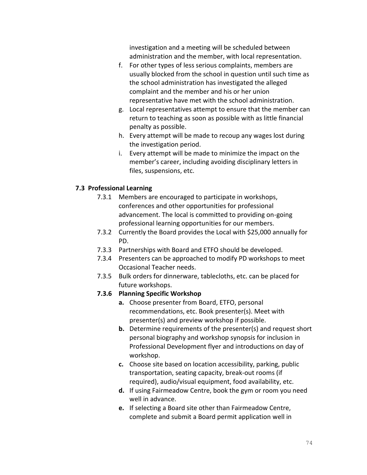investigation and a meeting will be scheduled between administration and the member, with local representation.

- f. For other types of less serious complaints, members are usually blocked from the school in question until such time as the school administration has investigated the alleged complaint and the member and his or her union representative have met with the school administration.
- g. Local representatives attempt to ensure that the member can return to teaching as soon as possible with as little financial penalty as possible.
- h. Every attempt will be made to recoup any wages lost during the investigation period.
- i. Every attempt will be made to minimize the impact on the member's career, including avoiding disciplinary letters in files, suspensions, etc.

### **7.3 Professional Learning**

- 7.3.1 Members are encouraged to participate in workshops, conferences and other opportunities for professional advancement. The local is committed to providing on-going professional learning opportunities for our members.
- 7.3.2 Currently the Board provides the Local with \$25,000 annually for PD.
- 7.3.3 Partnerships with Board and ETFO should be developed.
- 7.3.4 Presenters can be approached to modify PD workshops to meet Occasional Teacher needs.
- 7.3.5 Bulk orders for dinnerware, tablecloths, etc. can be placed for future workshops.

#### **7.3.6 Planning Specific Workshop**

- **a.** Choose presenter from Board, ETFO, personal recommendations, etc. Book presenter(s). Meet with presenter(s) and preview workshop if possible.
- **b.** Determine requirements of the presenter(s) and request short personal biography and workshop synopsis for inclusion in Professional Development flyer and introductions on day of workshop.
- **c.** Choose site based on location accessibility, parking, public transportation, seating capacity, break-out rooms (if required), audio/visual equipment, food availability, etc.
- **d.** If using Fairmeadow Centre, book the gym or room you need well in advance.
- **e.** If selecting a Board site other than Fairmeadow Centre, complete and submit a Board permit application well in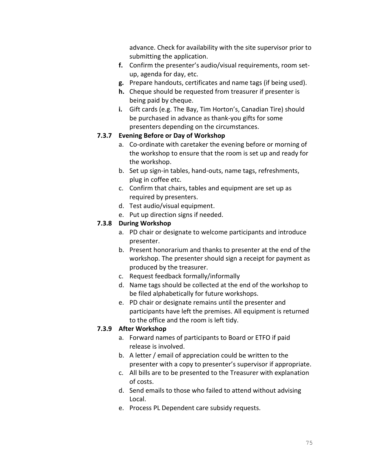advance. Check for availability with the site supervisor prior to submitting the application.

- **f.** Confirm the presenter's audio/visual requirements, room setup, agenda for day, etc.
- **g.** Prepare handouts, certificates and name tags (if being used).
- **h.** Cheque should be requested from treasurer if presenter is being paid by cheque.
- **i.** Gift cards (e.g. The Bay, Tim Horton's, Canadian Tire) should be purchased in advance as thank-you gifts for some presenters depending on the circumstances.

### **7.3.7 Evening Before or Day of Workshop**

- a. Co-ordinate with caretaker the evening before or morning of the workshop to ensure that the room is set up and ready for the workshop.
- b. Set up sign-in tables, hand-outs, name tags, refreshments, plug in coffee etc.
- c. Confirm that chairs, tables and equipment are set up as required by presenters.
- d. Test audio/visual equipment.
- e. Put up direction signs if needed.

## **7.3.8 During Workshop**

- a. PD chair or designate to welcome participants and introduce presenter.
- b. Present honorarium and thanks to presenter at the end of the workshop. The presenter should sign a receipt for payment as produced by the treasurer.
- c. Request feedback formally/informally
- d. Name tags should be collected at the end of the workshop to be filed alphabetically for future workshops.
- e. PD chair or designate remains until the presenter and participants have left the premises. All equipment is returned to the office and the room is left tidy.

# **7.3.9 After Workshop**

- a. Forward names of participants to Board or ETFO if paid release is involved.
- b. A letter / email of appreciation could be written to the presenter with a copy to presenter's supervisor if appropriate.
- c. All bills are to be presented to the Treasurer with explanation of costs.
- d. Send emails to those who failed to attend without advising Local.
- e. Process PL Dependent care subsidy requests.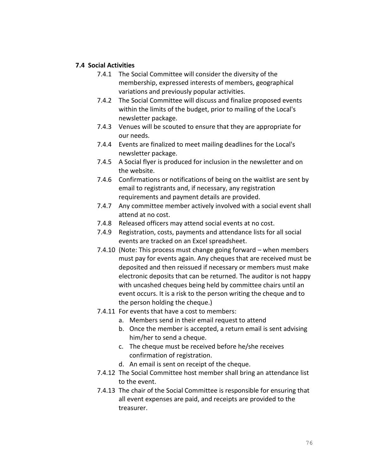#### **7.4 Social Activities**

- 7.4.1 The Social Committee will consider the diversity of the membership, expressed interests of members, geographical variations and previously popular activities.
- 7.4.2 The Social Committee will discuss and finalize proposed events within the limits of the budget, prior to mailing of the Local's newsletter package.
- 7.4.3 Venues will be scouted to ensure that they are appropriate for our needs.
- 7.4.4 Events are finalized to meet mailing deadlines for the Local's newsletter package.
- 7.4.5 A Social flyer is produced for inclusion in the newsletter and on the website.
- 7.4.6 Confirmations or notifications of being on the waitlist are sent by email to registrants and, if necessary, any registration requirements and payment details are provided.
- 7.4.7 Any committee member actively involved with a social event shall attend at no cost.
- 7.4.8 Released officers may attend social events at no cost.
- 7.4.9 Registration, costs, payments and attendance lists for all social events are tracked on an Excel spreadsheet.
- 7.4.10 (Note: This process must change going forward when members must pay for events again. Any cheques that are received must be deposited and then reissued if necessary or members must make electronic deposits that can be returned. The auditor is not happy with uncashed cheques being held by committee chairs until an event occurs. It is a risk to the person writing the cheque and to the person holding the cheque.)
- 7.4.11 For events that have a cost to members:
	- a. Members send in their email request to attend
	- b. Once the member is accepted, a return email is sent advising him/her to send a cheque.
	- c. The cheque must be received before he/she receives confirmation of registration.
	- d. An email is sent on receipt of the cheque.
- 7.4.12 The Social Committee host member shall bring an attendance list to the event.
- 7.4.13 The chair of the Social Committee is responsible for ensuring that all event expenses are paid, and receipts are provided to the treasurer.